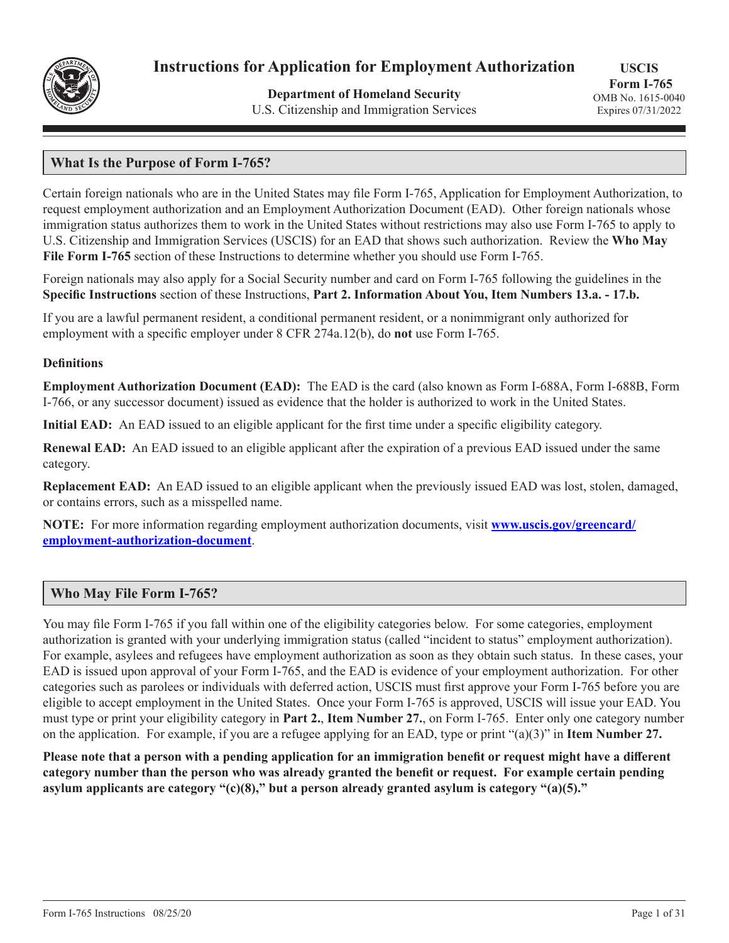

# **Instructions for Application for Employment Authorization**

**Department of Homeland Security** U.S. Citizenship and Immigration Services

# **What Is the Purpose of Form I-765?**

Certain foreign nationals who are in the United States may file Form I-765, Application for Employment Authorization, to request employment authorization and an Employment Authorization Document (EAD). Other foreign nationals whose immigration status authorizes them to work in the United States without restrictions may also use Form I-765 to apply to U.S. Citizenship and Immigration Services (USCIS) for an EAD that shows such authorization. Review the **Who May File Form I-765** section of these Instructions to determine whether you should use Form I-765.

Foreign nationals may also apply for a Social Security number and card on Form I-765 following the guidelines in the **Specific Instructions** section of these Instructions, **Part 2. Information About You, Item Numbers 13.a. - 17.b.**

If you are a lawful permanent resident, a conditional permanent resident, or a nonimmigrant only authorized for employment with a specific employer under 8 CFR 274a.12(b), do **not** use Form I-765.

#### **Definitions**

**Employment Authorization Document (EAD):** The EAD is the card (also known as Form I-688A, Form I-688B, Form I-766, or any successor document) issued as evidence that the holder is authorized to work in the United States.

**Initial EAD:** An EAD issued to an eligible applicant for the first time under a specific eligibility category.

**Renewal EAD:** An EAD issued to an eligible applicant after the expiration of a previous EAD issued under the same category.

**Replacement EAD:** An EAD issued to an eligible applicant when the previously issued EAD was lost, stolen, damaged, or contains errors, such as a misspelled name.

**NOTE:** For more information regarding employment authorization documents, visit **www.uscis.gov/greencard/ employment-authorization-document**.

## **Who May File Form I-765?**

You may file Form I-765 if you fall within one of the eligibility categories below. For some categories, employment authorization is granted with your underlying immigration status (called "incident to status" employment authorization). For example, asylees and refugees have employment authorization as soon as they obtain such status. In these cases, your EAD is issued upon approval of your Form I-765, and the EAD is evidence of your employment authorization. For other categories such as parolees or individuals with deferred action, USCIS must first approve your Form I-765 before you are eligible to accept employment in the United States. Once your Form I-765 is approved, USCIS will issue your EAD. You must type or print your eligibility category in **Part 2.**, **Item Number 27.**, on Form I-765. Enter only one category number on the application. For example, if you are a refugee applying for an EAD, type or print "(a)(3)" in **Item Number 27.**

**Please note that a person with a pending application for an immigration benefit or request might have a different category number than the person who was already granted the benefit or request. For example certain pending asylum applicants are category "(c)(8)," but a person already granted asylum is category "(a)(5)."**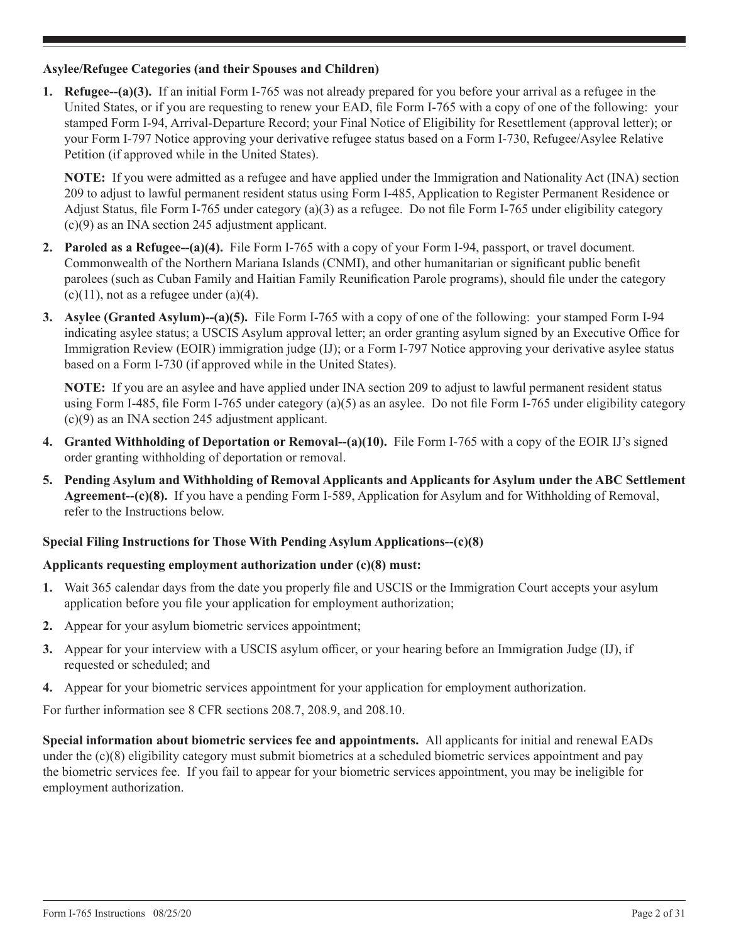## **Asylee/Refugee Categories (and their Spouses and Children)**

**1. Refugee--(a)(3).** If an initial Form I-765 was not already prepared for you before your arrival as a refugee in the United States, or if you are requesting to renew your EAD, file Form I-765 with a copy of one of the following: your stamped Form I-94, Arrival-Departure Record; your Final Notice of Eligibility for Resettlement (approval letter); or your Form I-797 Notice approving your derivative refugee status based on a Form I-730, Refugee/Asylee Relative Petition (if approved while in the United States).

**NOTE:** If you were admitted as a refugee and have applied under the Immigration and Nationality Act (INA) section 209 to adjust to lawful permanent resident status using Form I-485, Application to Register Permanent Residence or Adjust Status, file Form I-765 under category (a)(3) as a refugee. Do not file Form I-765 under eligibility category (c)(9) as an INA section 245 adjustment applicant.

- **2. Paroled as a Refugee--(a)(4).** File Form I-765 with a copy of your Form I-94, passport, or travel document. Commonwealth of the Northern Mariana Islands (CNMI), and other humanitarian or significant public benefit parolees (such as Cuban Family and Haitian Family Reunification Parole programs), should file under the category  $(c)(11)$ , not as a refugee under  $(a)(4)$ .
- **3. Asylee (Granted Asylum)--(a)(5).** File Form I-765 with a copy of one of the following: your stamped Form I-94 indicating asylee status; a USCIS Asylum approval letter; an order granting asylum signed by an Executive Office for Immigration Review (EOIR) immigration judge (IJ); or a Form I-797 Notice approving your derivative asylee status based on a Form I-730 (if approved while in the United States).

**NOTE:** If you are an asylee and have applied under INA section 209 to adjust to lawful permanent resident status using Form I-485, file Form I-765 under category (a)(5) as an asylee. Do not file Form I-765 under eligibility category (c)(9) as an INA section 245 adjustment applicant.

- **4. Granted Withholding of Deportation or Removal--(a)(10).** File Form I-765 with a copy of the EOIR IJ's signed order granting withholding of deportation or removal.
- **5. Pending Asylum and Withholding of Removal Applicants and Applicants for Asylum under the ABC Settlement Agreement--(c)(8).** If you have a pending Form I-589, Application for Asylum and for Withholding of Removal, refer to the Instructions below.

## **Special Filing Instructions for Those With Pending Asylum Applications--(c)(8)**

#### **Applicants requesting employment authorization under (c)(8) must:**

- **1.** Wait 365 calendar days from the date you properly file and USCIS or the Immigration Court accepts your asylum application before you file your application for employment authorization;
- **2.** Appear for your asylum biometric services appointment;
- **3.** Appear for your interview with a USCIS asylum officer, or your hearing before an Immigration Judge (IJ), if requested or scheduled; and
- **4.** Appear for your biometric services appointment for your application for employment authorization.

For further information see 8 CFR sections 208.7, 208.9, and 208.10.

**Special information about biometric services fee and appointments.** All applicants for initial and renewal EADs under the (c)(8) eligibility category must submit biometrics at a scheduled biometric services appointment and pay the biometric services fee. If you fail to appear for your biometric services appointment, you may be ineligible for employment authorization.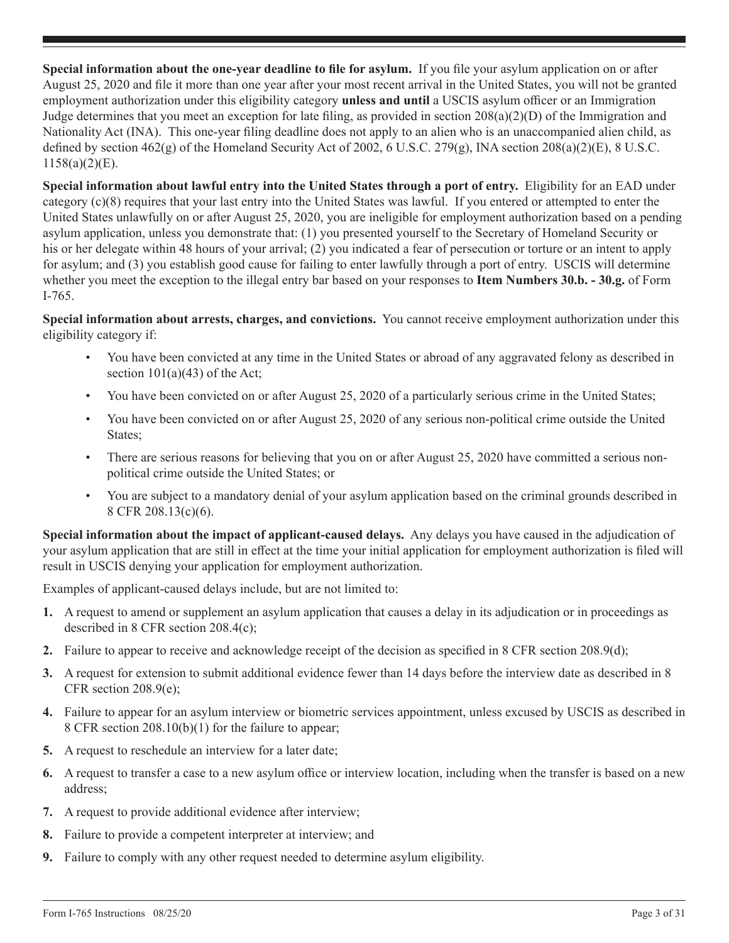**Special information about the one-year deadline to file for asylum.** If you file your asylum application on or after August 25, 2020 and file it more than one year after your most recent arrival in the United States, you will not be granted employment authorization under this eligibility category **unless and until** a USCIS asylum officer or an Immigration Judge determines that you meet an exception for late filing, as provided in section 208(a)(2)(D) of the Immigration and Nationality Act (INA). This one-year filing deadline does not apply to an alien who is an unaccompanied alien child, as defined by section  $462(g)$  of the Homeland Security Act of 2002, 6 U.S.C. 279 $(g)$ , INA section  $208(a)(2)(E)$ , 8 U.S.C.  $1158(a)(2)(E)$ .

**Special information about lawful entry into the United States through a port of entry.** Eligibility for an EAD under category (c)(8) requires that your last entry into the United States was lawful. If you entered or attempted to enter the United States unlawfully on or after August 25, 2020, you are ineligible for employment authorization based on a pending asylum application, unless you demonstrate that: (1) you presented yourself to the Secretary of Homeland Security or his or her delegate within 48 hours of your arrival; (2) you indicated a fear of persecution or torture or an intent to apply for asylum; and (3) you establish good cause for failing to enter lawfully through a port of entry. USCIS will determine whether you meet the exception to the illegal entry bar based on your responses to **Item Numbers 30.b. - 30.g.** of Form I-765.

**Special information about arrests, charges, and convictions.** You cannot receive employment authorization under this eligibility category if:

- You have been convicted at any time in the United States or abroad of any aggravated felony as described in section  $101(a)(43)$  of the Act;
- You have been convicted on or after August 25, 2020 of a particularly serious crime in the United States;
- You have been convicted on or after August 25, 2020 of any serious non-political crime outside the United States;
- There are serious reasons for believing that you on or after August 25, 2020 have committed a serious nonpolitical crime outside the United States; or
- You are subject to a mandatory denial of your asylum application based on the criminal grounds described in 8 CFR 208.13(c)(6).

**Special information about the impact of applicant-caused delays.** Any delays you have caused in the adjudication of your asylum application that are still in effect at the time your initial application for employment authorization is filed will result in USCIS denying your application for employment authorization.

Examples of applicant-caused delays include, but are not limited to:

- **1.** A request to amend or supplement an asylum application that causes a delay in its adjudication or in proceedings as described in 8 CFR section 208.4(c);
- **2.** Failure to appear to receive and acknowledge receipt of the decision as specified in 8 CFR section 208.9(d);
- **3.** A request for extension to submit additional evidence fewer than 14 days before the interview date as described in 8 CFR section 208.9(e);
- **4.** Failure to appear for an asylum interview or biometric services appointment, unless excused by USCIS as described in 8 CFR section 208.10(b)(1) for the failure to appear;
- **5.** A request to reschedule an interview for a later date;
- **6.** A request to transfer a case to a new asylum office or interview location, including when the transfer is based on a new address;
- **7.** A request to provide additional evidence after interview;
- **8.** Failure to provide a competent interpreter at interview; and
- **9.** Failure to comply with any other request needed to determine asylum eligibility.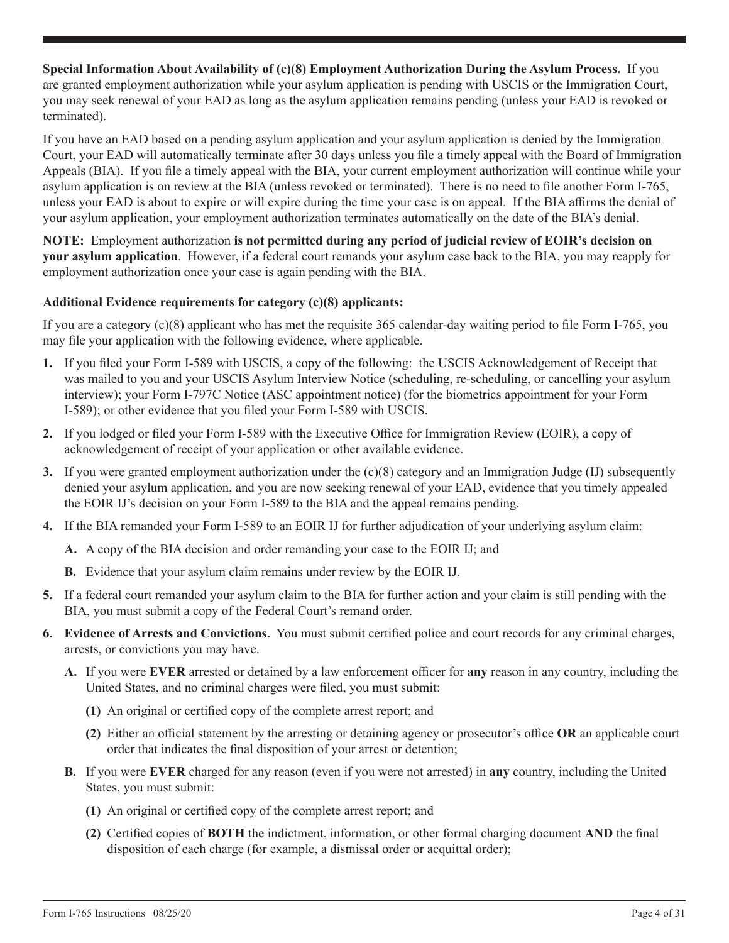**Special Information About Availability of (c)(8) Employment Authorization During the Asylum Process.** If you are granted employment authorization while your asylum application is pending with USCIS or the Immigration Court, you may seek renewal of your EAD as long as the asylum application remains pending (unless your EAD is revoked or terminated).

If you have an EAD based on a pending asylum application and your asylum application is denied by the Immigration Court, your EAD will automatically terminate after 30 days unless you file a timely appeal with the Board of Immigration Appeals (BIA). If you file a timely appeal with the BIA, your current employment authorization will continue while your asylum application is on review at the BIA (unless revoked or terminated). There is no need to file another Form I-765, unless your EAD is about to expire or will expire during the time your case is on appeal. If the BIA affirms the denial of your asylum application, your employment authorization terminates automatically on the date of the BIA's denial.

**NOTE:** Employment authorization **is not permitted during any period of judicial review of EOIR's decision on your asylum application**. However, if a federal court remands your asylum case back to the BIA, you may reapply for employment authorization once your case is again pending with the BIA.

## **Additional Evidence requirements for category (c)(8) applicants:**

If you are a category (c)(8) applicant who has met the requisite 365 calendar-day waiting period to file Form I-765, you may file your application with the following evidence, where applicable.

- **1.** If you filed your Form I-589 with USCIS, a copy of the following: the USCIS Acknowledgement of Receipt that was mailed to you and your USCIS Asylum Interview Notice (scheduling, re-scheduling, or cancelling your asylum interview); your Form I-797C Notice (ASC appointment notice) (for the biometrics appointment for your Form I-589); or other evidence that you filed your Form I-589 with USCIS.
- **2.** If you lodged or filed your Form I-589 with the Executive Office for Immigration Review (EOIR), a copy of acknowledgement of receipt of your application or other available evidence.
- **3.** If you were granted employment authorization under the (c)(8) category and an Immigration Judge (IJ) subsequently denied your asylum application, and you are now seeking renewal of your EAD, evidence that you timely appealed the EOIR IJ's decision on your Form I-589 to the BIA and the appeal remains pending.
- **4.** If the BIA remanded your Form I-589 to an EOIR IJ for further adjudication of your underlying asylum claim:
	- **A.** A copy of the BIA decision and order remanding your case to the EOIR IJ; and
	- **B.** Evidence that your asylum claim remains under review by the EOIR IJ.
- **5.** If a federal court remanded your asylum claim to the BIA for further action and your claim is still pending with the BIA, you must submit a copy of the Federal Court's remand order.
- **6. Evidence of Arrests and Convictions.** You must submit certified police and court records for any criminal charges, arrests, or convictions you may have.
	- **A.** If you were **EVER** arrested or detained by a law enforcement officer for **any** reason in any country, including the United States, and no criminal charges were filed, you must submit:
		- **(1)** An original or certified copy of the complete arrest report; and
		- **(2)** Either an official statement by the arresting or detaining agency or prosecutor's office **OR** an applicable court order that indicates the final disposition of your arrest or detention;
	- **B.** If you were **EVER** charged for any reason (even if you were not arrested) in **any** country, including the United States, you must submit:
		- **(1)** An original or certified copy of the complete arrest report; and
		- **(2)** Certified copies of **BOTH** the indictment, information, or other formal charging document **AND** the final disposition of each charge (for example, a dismissal order or acquittal order);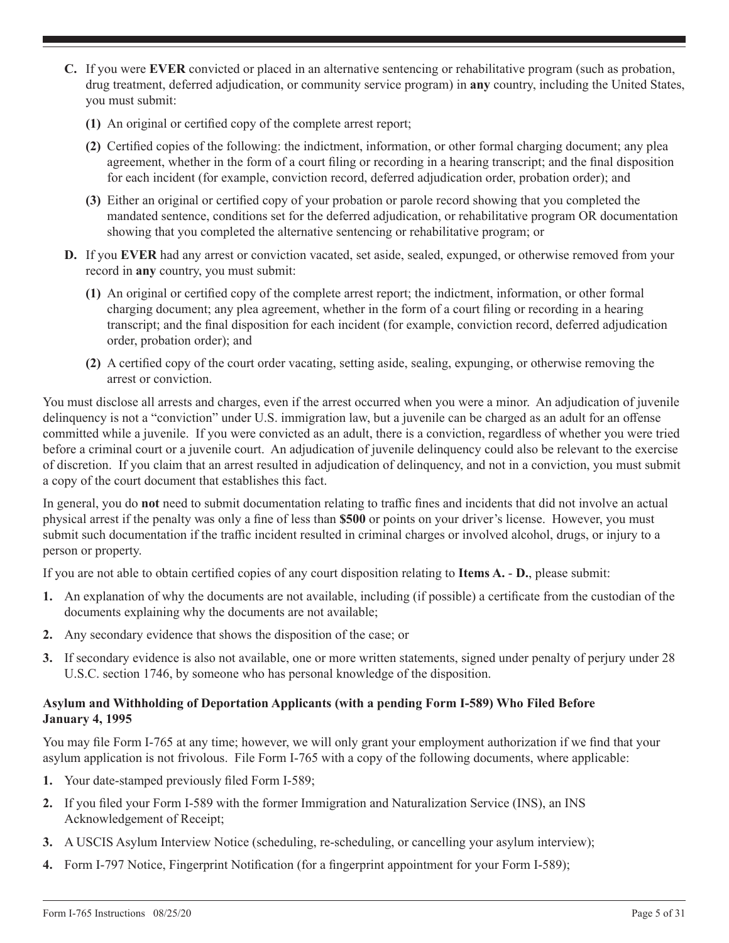- **C.** If you were **EVER** convicted or placed in an alternative sentencing or rehabilitative program (such as probation, drug treatment, deferred adjudication, or community service program) in **any** country, including the United States, you must submit:
	- **(1)** An original or certified copy of the complete arrest report;
	- **(2)** Certified copies of the following: the indictment, information, or other formal charging document; any plea agreement, whether in the form of a court filing or recording in a hearing transcript; and the final disposition for each incident (for example, conviction record, deferred adjudication order, probation order); and
	- **(3)** Either an original or certified copy of your probation or parole record showing that you completed the mandated sentence, conditions set for the deferred adjudication, or rehabilitative program OR documentation showing that you completed the alternative sentencing or rehabilitative program; or
- **D.** If you **EVER** had any arrest or conviction vacated, set aside, sealed, expunged, or otherwise removed from your record in **any** country, you must submit:
	- **(1)** An original or certified copy of the complete arrest report; the indictment, information, or other formal charging document; any plea agreement, whether in the form of a court filing or recording in a hearing transcript; and the final disposition for each incident (for example, conviction record, deferred adjudication order, probation order); and
	- **(2)** A certified copy of the court order vacating, setting aside, sealing, expunging, or otherwise removing the arrest or conviction.

You must disclose all arrests and charges, even if the arrest occurred when you were a minor. An adjudication of juvenile delinquency is not a "conviction" under U.S. immigration law, but a juvenile can be charged as an adult for an offense committed while a juvenile. If you were convicted as an adult, there is a conviction, regardless of whether you were tried before a criminal court or a juvenile court. An adjudication of juvenile delinquency could also be relevant to the exercise of discretion. If you claim that an arrest resulted in adjudication of delinquency, and not in a conviction, you must submit a copy of the court document that establishes this fact.

In general, you do **not** need to submit documentation relating to traffic fines and incidents that did not involve an actual physical arrest if the penalty was only a fine of less than **\$500** or points on your driver's license. However, you must submit such documentation if the traffic incident resulted in criminal charges or involved alcohol, drugs, or injury to a person or property.

If you are not able to obtain certified copies of any court disposition relating to **Items A.** - **D.**, please submit:

- **1.** An explanation of why the documents are not available, including (if possible) a certificate from the custodian of the documents explaining why the documents are not available;
- **2.** Any secondary evidence that shows the disposition of the case; or
- **3.** If secondary evidence is also not available, one or more written statements, signed under penalty of perjury under 28 U.S.C. section 1746, by someone who has personal knowledge of the disposition.

#### **Asylum and Withholding of Deportation Applicants (with a pending Form I-589) Who Filed Before January 4, 1995**

You may file Form I-765 at any time; however, we will only grant your employment authorization if we find that your asylum application is not frivolous. File Form I-765 with a copy of the following documents, where applicable:

- **1.** Your date-stamped previously filed Form I-589;
- **2.** If you filed your Form I-589 with the former Immigration and Naturalization Service (INS), an INS Acknowledgement of Receipt;
- **3.** A USCIS Asylum Interview Notice (scheduling, re-scheduling, or cancelling your asylum interview);
- **4.** Form I-797 Notice, Fingerprint Notification (for a fingerprint appointment for your Form I-589);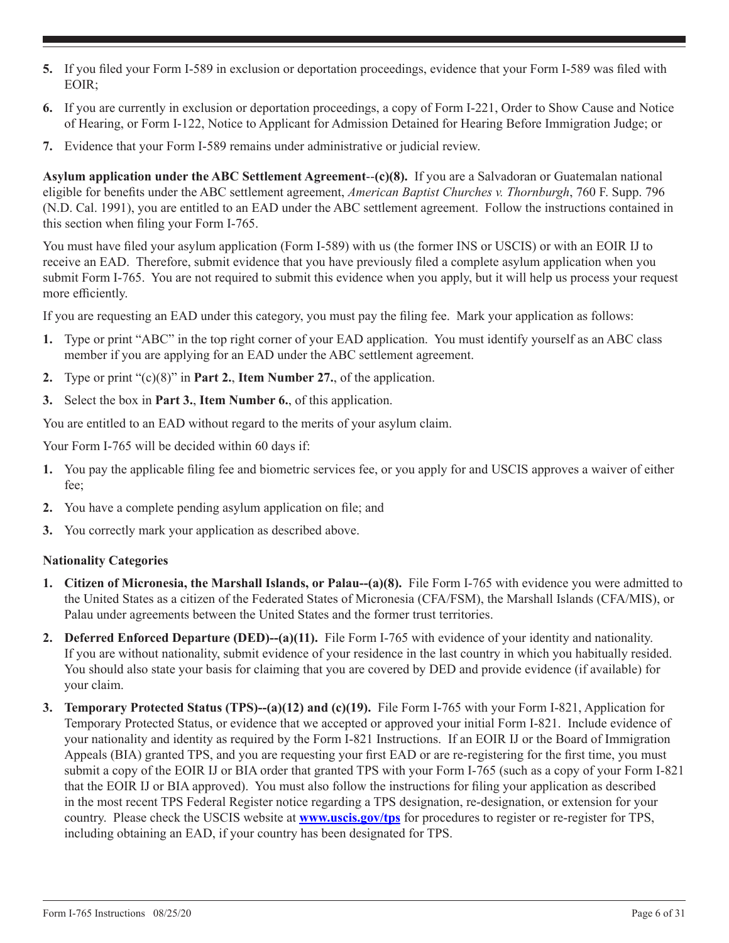- **5.** If you filed your Form I-589 in exclusion or deportation proceedings, evidence that your Form I-589 was filed with EOIR;
- **6.** If you are currently in exclusion or deportation proceedings, a copy of Form I-221, Order to Show Cause and Notice of Hearing, or Form I-122, Notice to Applicant for Admission Detained for Hearing Before Immigration Judge; or
- **7.** Evidence that your Form I-589 remains under administrative or judicial review.

**Asylum application under the ABC Settlement Agreement**--**(c)(8).** If you are a Salvadoran or Guatemalan national eligible for benefits under the ABC settlement agreement, *American Baptist Churches v. Thornburgh*, 760 F. Supp. 796 (N.D. Cal. 1991), you are entitled to an EAD under the ABC settlement agreement. Follow the instructions contained in this section when filing your Form I-765.

You must have filed your asylum application (Form I-589) with us (the former INS or USCIS) or with an EOIR IJ to receive an EAD. Therefore, submit evidence that you have previously filed a complete asylum application when you submit Form I-765. You are not required to submit this evidence when you apply, but it will help us process your request more efficiently.

If you are requesting an EAD under this category, you must pay the filing fee. Mark your application as follows:

- **1.** Type or print "ABC" in the top right corner of your EAD application. You must identify yourself as an ABC class member if you are applying for an EAD under the ABC settlement agreement.
- **2.** Type or print "(c)(8)" in **Part 2.**, **Item Number 27.**, of the application.
- **3.** Select the box in **Part 3.**, **Item Number 6.**, of this application.

You are entitled to an EAD without regard to the merits of your asylum claim.

Your Form I-765 will be decided within 60 days if:

- **1.** You pay the applicable filing fee and biometric services fee, or you apply for and USCIS approves a waiver of either fee;
- **2.** You have a complete pending asylum application on file; and
- **3.** You correctly mark your application as described above.

## **Nationality Categories**

- **1. Citizen of Micronesia, the Marshall Islands, or Palau--(a)(8).** File Form I-765 with evidence you were admitted to the United States as a citizen of the Federated States of Micronesia (CFA/FSM), the Marshall Islands (CFA/MIS), or Palau under agreements between the United States and the former trust territories.
- **2. Deferred Enforced Departure (DED)--(a)(11).** File Form I-765 with evidence of your identity and nationality. If you are without nationality, submit evidence of your residence in the last country in which you habitually resided. You should also state your basis for claiming that you are covered by DED and provide evidence (if available) for your claim.
- **3. Temporary Protected Status (TPS)--(a)(12) and (c)(19).** File Form I-765 with your Form I-821, Application for Temporary Protected Status, or evidence that we accepted or approved your initial Form I-821. Include evidence of your nationality and identity as required by the Form I-821 Instructions. If an EOIR IJ or the Board of Immigration Appeals (BIA) granted TPS, and you are requesting your first EAD or are re-registering for the first time, you must submit a copy of the EOIR IJ or BIA order that granted TPS with your Form I-765 (such as a copy of your Form I-821 that the EOIR IJ or BIA approved). You must also follow the instructions for filing your application as described in the most recent TPS Federal Register notice regarding a TPS designation, re-designation, or extension for your country. Please check the USCIS website at **www.uscis.gov/tps** for procedures to register or re-register for TPS, including obtaining an EAD, if your country has been designated for TPS.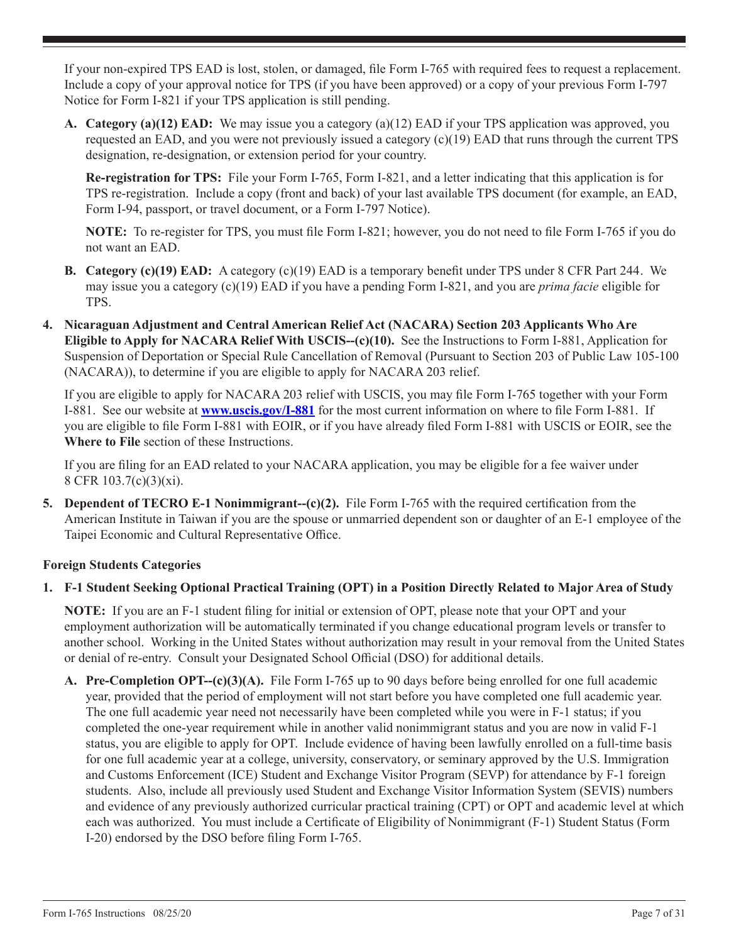If your non-expired TPS EAD is lost, stolen, or damaged, file Form I-765 with required fees to request a replacement. Include a copy of your approval notice for TPS (if you have been approved) or a copy of your previous Form I-797 Notice for Form I-821 if your TPS application is still pending.

**A. Category (a)(12) EAD:** We may issue you a category (a)(12) EAD if your TPS application was approved, you requested an EAD, and you were not previously issued a category (c)(19) EAD that runs through the current TPS designation, re-designation, or extension period for your country.

**Re-registration for TPS:** File your Form I-765, Form I-821, and a letter indicating that this application is for TPS re-registration. Include a copy (front and back) of your last available TPS document (for example, an EAD, Form I-94, passport, or travel document, or a Form I-797 Notice).

**NOTE:** To re-register for TPS, you must file Form I-821; however, you do not need to file Form I-765 if you do not want an EAD.

- **B. Category (c)(19) EAD:** A category (c)(19) EAD is a temporary benefit under TPS under 8 CFR Part 244. We may issue you a category (c)(19) EAD if you have a pending Form I-821, and you are *prima facie* eligible for TPS.
- **4. Nicaraguan Adjustment and Central American Relief Act (NACARA) Section 203 Applicants Who Are Eligible to Apply for NACARA Relief With USCIS--(c)(10).** See the Instructions to Form I-881, Application for Suspension of Deportation or Special Rule Cancellation of Removal (Pursuant to Section 203 of Public Law 105-100 (NACARA)), to determine if you are eligible to apply for NACARA 203 relief.

If you are eligible to apply for NACARA 203 relief with USCIS, you may file Form I-765 together with your Form I-881. See our website at **www.uscis.gov/I-881** for the most current information on where to file Form I-881. If you are eligible to file Form I-881 with EOIR, or if you have already filed Form I-881 with USCIS or EOIR, see the **Where to File** section of these Instructions.

If you are filing for an EAD related to your NACARA application, you may be eligible for a fee waiver under 8 CFR 103.7(c)(3)(xi).

**5. Dependent of TECRO E-1 Nonimmigrant--(c)(2).** File Form I-765 with the required certification from the American Institute in Taiwan if you are the spouse or unmarried dependent son or daughter of an E-1 employee of the Taipei Economic and Cultural Representative Office.

## **Foreign Students Categories**

## **1. F-1 Student Seeking Optional Practical Training (OPT) in a Position Directly Related to Major Area of Study**

**NOTE:** If you are an F-1 student filing for initial or extension of OPT, please note that your OPT and your employment authorization will be automatically terminated if you change educational program levels or transfer to another school. Working in the United States without authorization may result in your removal from the United States or denial of re-entry. Consult your Designated School Official (DSO) for additional details.

**A. Pre-Completion OPT--(c)(3)(A).** File Form I-765 up to 90 days before being enrolled for one full academic year, provided that the period of employment will not start before you have completed one full academic year. The one full academic year need not necessarily have been completed while you were in F-1 status; if you completed the one-year requirement while in another valid nonimmigrant status and you are now in valid F-1 status, you are eligible to apply for OPT. Include evidence of having been lawfully enrolled on a full-time basis for one full academic year at a college, university, conservatory, or seminary approved by the U.S. Immigration and Customs Enforcement (ICE) Student and Exchange Visitor Program (SEVP) for attendance by F-1 foreign students. Also, include all previously used Student and Exchange Visitor Information System (SEVIS) numbers and evidence of any previously authorized curricular practical training (CPT) or OPT and academic level at which each was authorized. You must include a Certificate of Eligibility of Nonimmigrant (F-1) Student Status (Form I-20) endorsed by the DSO before filing Form I-765.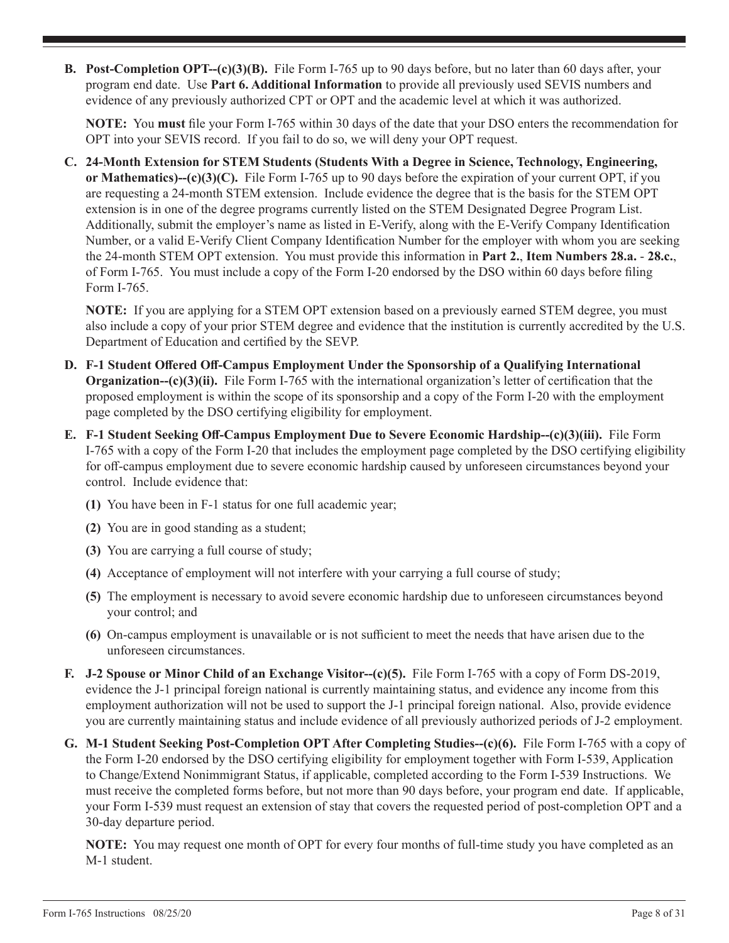**B. Post-Completion OPT--(c)(3)(B).** File Form I-765 up to 90 days before, but no later than 60 days after, your program end date. Use **Part 6. Additional Information** to provide all previously used SEVIS numbers and evidence of any previously authorized CPT or OPT and the academic level at which it was authorized.

**NOTE:** You **must** file your Form I-765 within 30 days of the date that your DSO enters the recommendation for OPT into your SEVIS record. If you fail to do so, we will deny your OPT request.

**C. 24-Month Extension for STEM Students (Students With a Degree in Science, Technology, Engineering, or Mathematics)--(c)(3)(C).** File Form I-765 up to 90 days before the expiration of your current OPT, if you are requesting a 24-month STEM extension. Include evidence the degree that is the basis for the STEM OPT extension is in one of the degree programs currently listed on the STEM Designated Degree Program List. Additionally, submit the employer's name as listed in E-Verify, along with the E-Verify Company Identification Number, or a valid E-Verify Client Company Identification Number for the employer with whom you are seeking the 24-month STEM OPT extension. You must provide this information in **Part 2.**, **Item Numbers 28.a.** - **28.c.**, of Form I-765. You must include a copy of the Form I-20 endorsed by the DSO within 60 days before filing Form I-765.

**NOTE:** If you are applying for a STEM OPT extension based on a previously earned STEM degree, you must also include a copy of your prior STEM degree and evidence that the institution is currently accredited by the U.S. Department of Education and certified by the SEVP.

- **D. F-1 Student Offered Off-Campus Employment Under the Sponsorship of a Qualifying International Organization--(c)(3)(ii).** File Form I-765 with the international organization's letter of certification that the proposed employment is within the scope of its sponsorship and a copy of the Form I-20 with the employment page completed by the DSO certifying eligibility for employment.
- **E. F-1 Student Seeking Off-Campus Employment Due to Severe Economic Hardship--(c)(3)(iii).** File Form I-765 with a copy of the Form I-20 that includes the employment page completed by the DSO certifying eligibility for off-campus employment due to severe economic hardship caused by unforeseen circumstances beyond your control. Include evidence that:
	- **(1)** You have been in F-1 status for one full academic year;
	- **(2)** You are in good standing as a student;
	- **(3)** You are carrying a full course of study;
	- **(4)** Acceptance of employment will not interfere with your carrying a full course of study;
	- **(5)** The employment is necessary to avoid severe economic hardship due to unforeseen circumstances beyond your control; and
	- **(6)** On-campus employment is unavailable or is not sufficient to meet the needs that have arisen due to the unforeseen circumstances.
- **F. J-2 Spouse or Minor Child of an Exchange Visitor--(c)(5).** File Form I-765 with a copy of Form DS-2019, evidence the J-1 principal foreign national is currently maintaining status, and evidence any income from this employment authorization will not be used to support the J-1 principal foreign national. Also, provide evidence you are currently maintaining status and include evidence of all previously authorized periods of J-2 employment.
- **G. M-1 Student Seeking Post-Completion OPT After Completing Studies--(c)(6).** File Form I-765 with a copy of the Form I-20 endorsed by the DSO certifying eligibility for employment together with Form I-539, Application to Change/Extend Nonimmigrant Status, if applicable, completed according to the Form I-539 Instructions. We must receive the completed forms before, but not more than 90 days before, your program end date. If applicable, your Form I-539 must request an extension of stay that covers the requested period of post-completion OPT and a 30-day departure period.

**NOTE:** You may request one month of OPT for every four months of full-time study you have completed as an M-1 student.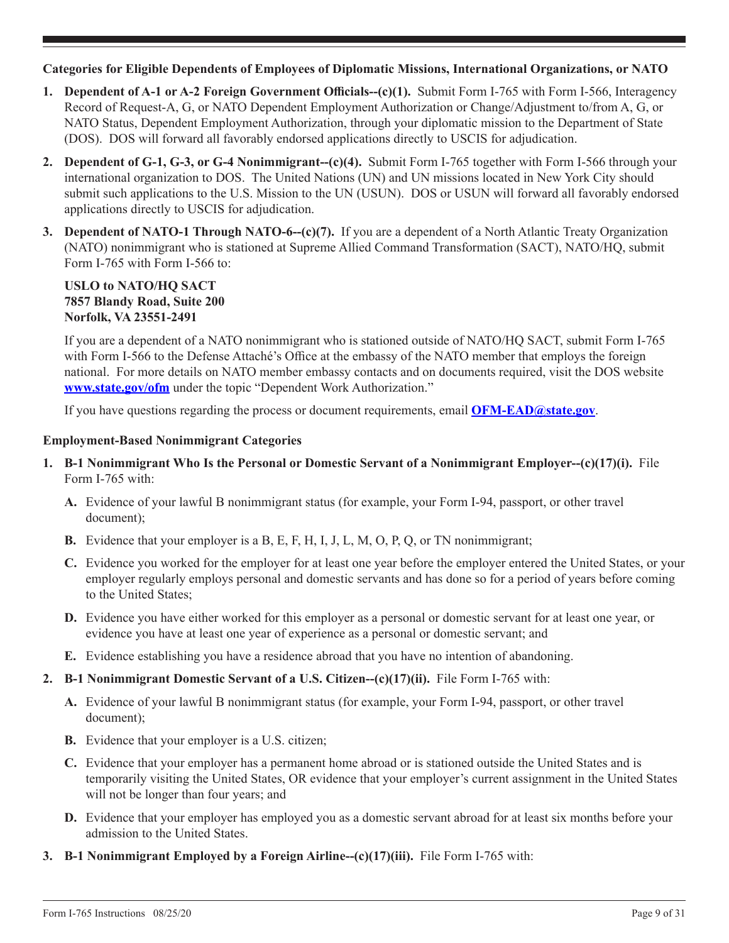## **Categories for Eligible Dependents of Employees of Diplomatic Missions, International Organizations, or NATO**

- **1. Dependent of A-1 or A-2 Foreign Government Officials--(c)(1).** Submit Form I-765 with Form I-566, Interagency Record of Request-A, G, or NATO Dependent Employment Authorization or Change/Adjustment to/from A, G, or NATO Status, Dependent Employment Authorization, through your diplomatic mission to the Department of State (DOS). DOS will forward all favorably endorsed applications directly to USCIS for adjudication.
- **2. Dependent of G-1, G-3, or G-4 Nonimmigrant--(c)(4).** Submit Form I-765 together with Form I-566 through your international organization to DOS. The United Nations (UN) and UN missions located in New York City should submit such applications to the U.S. Mission to the UN (USUN). DOS or USUN will forward all favorably endorsed applications directly to USCIS for adjudication.
- **3. Dependent of NATO-1 Through NATO-6--(c)(7).** If you are a dependent of a North Atlantic Treaty Organization (NATO) nonimmigrant who is stationed at Supreme Allied Command Transformation (SACT), NATO/HQ, submit Form I-765 with Form I-566 to:

## **USLO to NATO/HQ SACT 7857 Blandy Road, Suite 200 Norfolk, VA 23551-2491**

If you are a dependent of a NATO nonimmigrant who is stationed outside of NATO/HQ SACT, submit Form I-765 with Form I-566 to the Defense Attaché's Office at the embassy of the NATO member that employs the foreign national. For more details on NATO member embassy contacts and on documents required, visit the DOS website **www.state.gov/ofm** under the topic "Dependent Work Authorization."

If you have questions regarding the process or document requirements, email **OFM-EAD@state.gov**.

#### **Employment-Based Nonimmigrant Categories**

- **1. B-1 Nonimmigrant Who Is the Personal or Domestic Servant of a Nonimmigrant Employer--(c)(17)(i).** File Form I-765 with:
	- **A.** Evidence of your lawful B nonimmigrant status (for example, your Form I-94, passport, or other travel document);
	- **B.** Evidence that your employer is a B, E, F, H, I, J, L, M, O, P, Q, or TN nonimmigrant;
	- **C.** Evidence you worked for the employer for at least one year before the employer entered the United States, or your employer regularly employs personal and domestic servants and has done so for a period of years before coming to the United States;
	- **D.** Evidence you have either worked for this employer as a personal or domestic servant for at least one year, or evidence you have at least one year of experience as a personal or domestic servant; and
	- **E.** Evidence establishing you have a residence abroad that you have no intention of abandoning.

## **2. B-1 Nonimmigrant Domestic Servant of a U.S. Citizen--(c)(17)(ii).** File Form I-765 with:

- **A.** Evidence of your lawful B nonimmigrant status (for example, your Form I-94, passport, or other travel document);
- **B.** Evidence that your employer is a U.S. citizen;
- **C.** Evidence that your employer has a permanent home abroad or is stationed outside the United States and is temporarily visiting the United States, OR evidence that your employer's current assignment in the United States will not be longer than four years; and
- **D.** Evidence that your employer has employed you as a domestic servant abroad for at least six months before your admission to the United States.
- **3. B-1 Nonimmigrant Employed by a Foreign Airline--(c)(17)(iii).** File Form I-765 with: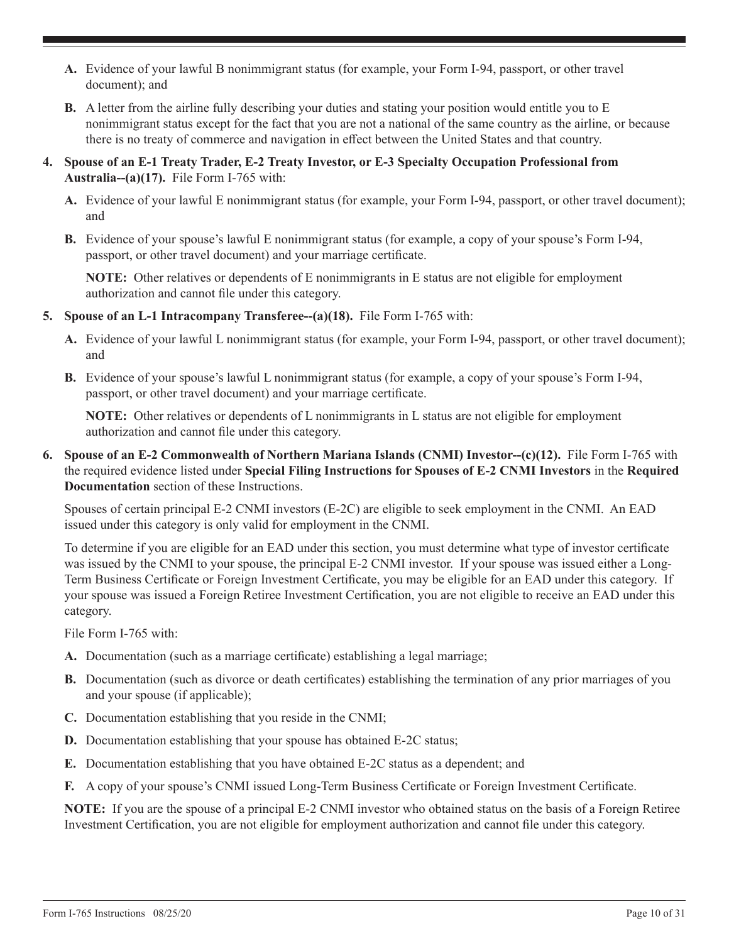- **A.** Evidence of your lawful B nonimmigrant status (for example, your Form I-94, passport, or other travel document); and
- **B.** A letter from the airline fully describing your duties and stating your position would entitle you to E nonimmigrant status except for the fact that you are not a national of the same country as the airline, or because there is no treaty of commerce and navigation in effect between the United States and that country.
- **4. Spouse of an E-1 Treaty Trader, E-2 Treaty Investor, or E-3 Specialty Occupation Professional from Australia--(a)(17).** File Form I-765 with:
	- **A.** Evidence of your lawful E nonimmigrant status (for example, your Form I-94, passport, or other travel document); and
	- **B.** Evidence of your spouse's lawful E nonimmigrant status (for example, a copy of your spouse's Form I-94, passport, or other travel document) and your marriage certificate.

**NOTE:** Other relatives or dependents of E nonimmigrants in E status are not eligible for employment authorization and cannot file under this category.

- **5. Spouse of an L-1 Intracompany Transferee--(a)(18).** File Form I-765 with:
	- **A.** Evidence of your lawful L nonimmigrant status (for example, your Form I-94, passport, or other travel document); and
	- **B.** Evidence of your spouse's lawful L nonimmigrant status (for example, a copy of your spouse's Form I-94, passport, or other travel document) and your marriage certificate.

**NOTE:** Other relatives or dependents of L nonimmigrants in L status are not eligible for employment authorization and cannot file under this category.

**6. Spouse of an E-2 Commonwealth of Northern Mariana Islands (CNMI) Investor--(c)(12).** File Form I-765 with the required evidence listed under **Special Filing Instructions for Spouses of E-2 CNMI Investors** in the **Required Documentation** section of these Instructions.

Spouses of certain principal E-2 CNMI investors (E-2C) are eligible to seek employment in the CNMI. An EAD issued under this category is only valid for employment in the CNMI.

To determine if you are eligible for an EAD under this section, you must determine what type of investor certificate was issued by the CNMI to your spouse, the principal E-2 CNMI investor. If your spouse was issued either a Long-Term Business Certificate or Foreign Investment Certificate, you may be eligible for an EAD under this category. If your spouse was issued a Foreign Retiree Investment Certification, you are not eligible to receive an EAD under this category.

File Form I-765 with:

- **A.** Documentation (such as a marriage certificate) establishing a legal marriage;
- **B.** Documentation (such as divorce or death certificates) establishing the termination of any prior marriages of you and your spouse (if applicable);
- **C.** Documentation establishing that you reside in the CNMI;
- **D.** Documentation establishing that your spouse has obtained E-2C status;
- **E.** Documentation establishing that you have obtained E-2C status as a dependent; and
- **F.** A copy of your spouse's CNMI issued Long-Term Business Certificate or Foreign Investment Certificate.

**NOTE:** If you are the spouse of a principal E-2 CNMI investor who obtained status on the basis of a Foreign Retiree Investment Certification, you are not eligible for employment authorization and cannot file under this category.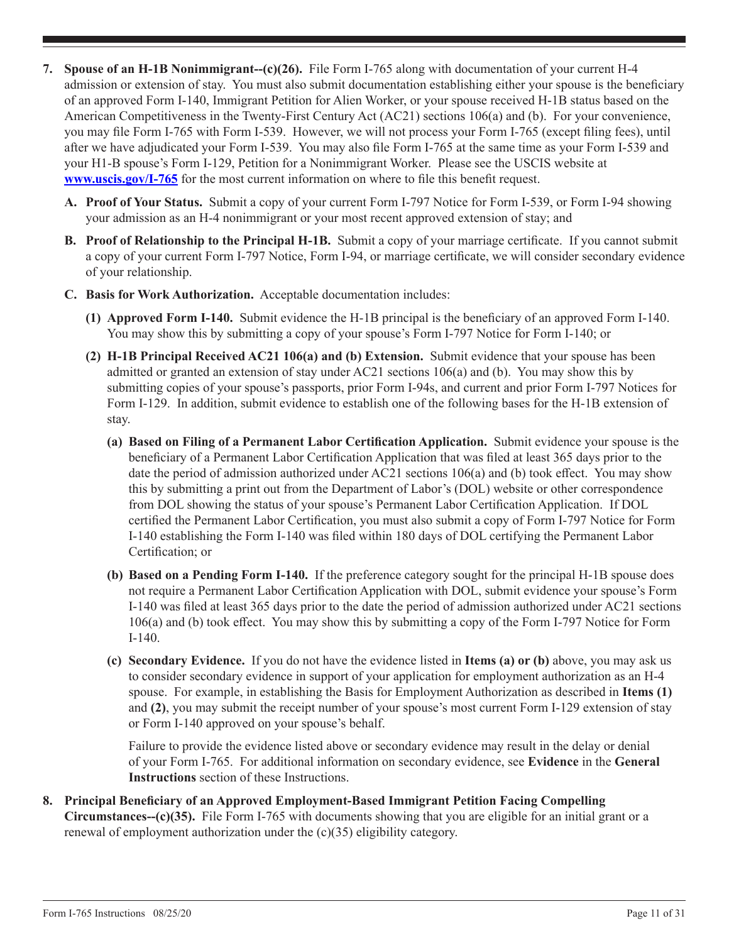- **7. Spouse of an H-1B Nonimmigrant--(c)(26).** File Form I-765 along with documentation of your current H-4 admission or extension of stay. You must also submit documentation establishing either your spouse is the beneficiary of an approved Form I-140, Immigrant Petition for Alien Worker, or your spouse received H-1B status based on the American Competitiveness in the Twenty-First Century Act (AC21) sections 106(a) and (b). For your convenience, you may file Form I-765 with Form I-539. However, we will not process your Form I-765 (except filing fees), until after we have adjudicated your Form I-539. You may also file Form I-765 at the same time as your Form I-539 and your H1-B spouse's Form I-129, Petition for a Nonimmigrant Worker. Please see the USCIS website at **www.uscis.gov/I-765** for the most current information on where to file this benefit request.
	- **A. Proof of Your Status.** Submit a copy of your current Form I-797 Notice for Form I-539, or Form I-94 showing your admission as an H-4 nonimmigrant or your most recent approved extension of stay; and
	- **B. Proof of Relationship to the Principal H-1B.** Submit a copy of your marriage certificate. If you cannot submit a copy of your current Form I-797 Notice, Form I-94, or marriage certificate, we will consider secondary evidence of your relationship.
	- **C. Basis for Work Authorization.** Acceptable documentation includes:
		- **(1) Approved Form I-140.** Submit evidence the H-1B principal is the beneficiary of an approved Form I-140. You may show this by submitting a copy of your spouse's Form I-797 Notice for Form I-140; or
		- **(2) H-1B Principal Received AC21 106(a) and (b) Extension.** Submit evidence that your spouse has been admitted or granted an extension of stay under AC21 sections 106(a) and (b). You may show this by submitting copies of your spouse's passports, prior Form I-94s, and current and prior Form I-797 Notices for Form I-129. In addition, submit evidence to establish one of the following bases for the H-1B extension of stay.
			- **(a) Based on Filing of a Permanent Labor Certification Application.** Submit evidence your spouse is the beneficiary of a Permanent Labor Certification Application that was filed at least 365 days prior to the date the period of admission authorized under AC21 sections 106(a) and (b) took effect. You may show this by submitting a print out from the Department of Labor's (DOL) website or other correspondence from DOL showing the status of your spouse's Permanent Labor Certification Application. If DOL certified the Permanent Labor Certification, you must also submit a copy of Form I-797 Notice for Form I-140 establishing the Form I-140 was filed within 180 days of DOL certifying the Permanent Labor Certification; or
			- **(b) Based on a Pending Form I-140.** If the preference category sought for the principal H-1B spouse does not require a Permanent Labor Certification Application with DOL, submit evidence your spouse's Form I-140 was filed at least 365 days prior to the date the period of admission authorized under AC21 sections 106(a) and (b) took effect. You may show this by submitting a copy of the Form I-797 Notice for Form I-140.
			- **(c) Secondary Evidence.** If you do not have the evidence listed in **Items (a) or (b)** above, you may ask us to consider secondary evidence in support of your application for employment authorization as an H-4 spouse. For example, in establishing the Basis for Employment Authorization as described in **Items (1)**  and **(2)**, you may submit the receipt number of your spouse's most current Form I-129 extension of stay or Form I-140 approved on your spouse's behalf.

Failure to provide the evidence listed above or secondary evidence may result in the delay or denial of your Form I-765. For additional information on secondary evidence, see **Evidence** in the **General Instructions** section of these Instructions.

**8. Principal Beneficiary of an Approved Employment-Based Immigrant Petition Facing Compelling Circumstances--(c)(35).** File Form I-765 with documents showing that you are eligible for an initial grant or a renewal of employment authorization under the (c)(35) eligibility category.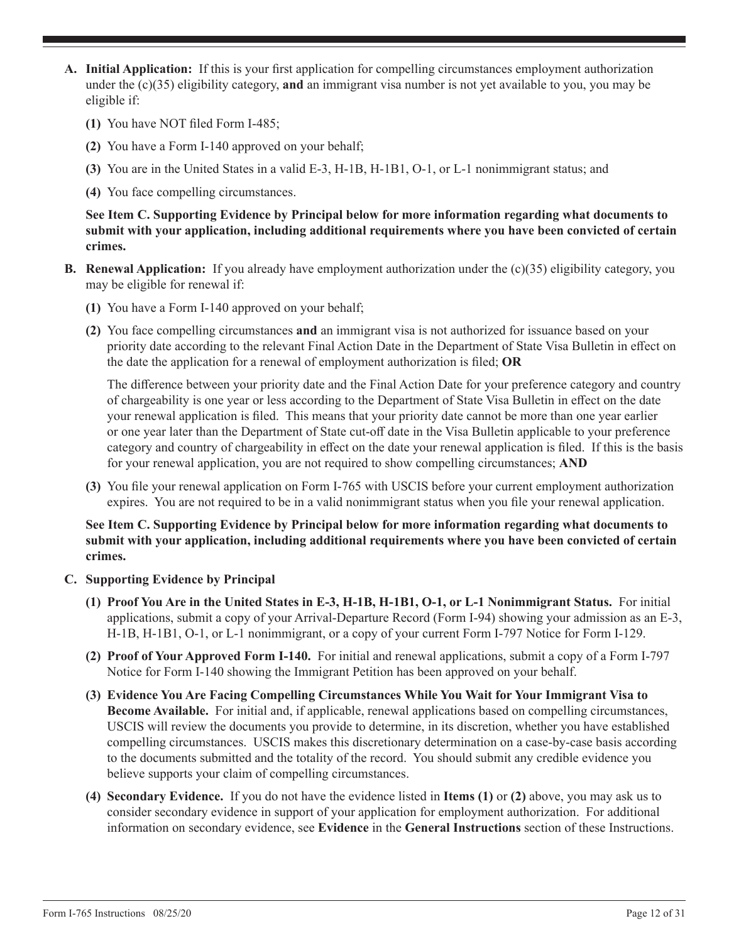- **A. Initial Application:** If this is your first application for compelling circumstances employment authorization under the (c)(35) eligibility category, **and** an immigrant visa number is not yet available to you, you may be eligible if:
	- **(1)** You have NOT filed Form I-485;
	- **(2)** You have a Form I-140 approved on your behalf;
	- **(3)** You are in the United States in a valid E-3, H-1B, H-1B1, O-1, or L-1 nonimmigrant status; and
	- **(4)** You face compelling circumstances.

**See Item C. Supporting Evidence by Principal below for more information regarding what documents to submit with your application, including additional requirements where you have been convicted of certain crimes.**

- **B. Renewal Application:** If you already have employment authorization under the (c)(35) eligibility category, you may be eligible for renewal if:
	- **(1)** You have a Form I-140 approved on your behalf;
	- **(2)** You face compelling circumstances **and** an immigrant visa is not authorized for issuance based on your priority date according to the relevant Final Action Date in the Department of State Visa Bulletin in effect on the date the application for a renewal of employment authorization is filed; **OR**

The difference between your priority date and the Final Action Date for your preference category and country of chargeability is one year or less according to the Department of State Visa Bulletin in effect on the date your renewal application is filed. This means that your priority date cannot be more than one year earlier or one year later than the Department of State cut-off date in the Visa Bulletin applicable to your preference category and country of chargeability in effect on the date your renewal application is filed. If this is the basis for your renewal application, you are not required to show compelling circumstances; **AND**

**(3)** You file your renewal application on Form I-765 with USCIS before your current employment authorization expires. You are not required to be in a valid nonimmigrant status when you file your renewal application.

#### **See Item C. Supporting Evidence by Principal below for more information regarding what documents to submit with your application, including additional requirements where you have been convicted of certain crimes.**

- **C. Supporting Evidence by Principal**
	- **(1) Proof You Are in the United States in E-3, H-1B, H-1B1, O-1, or L-1 Nonimmigrant Status.** For initial applications, submit a copy of your Arrival-Departure Record (Form I-94) showing your admission as an E-3, H-1B, H-1B1, O-1, or L-1 nonimmigrant, or a copy of your current Form I-797 Notice for Form I-129.
	- **(2) Proof of Your Approved Form I-140.** For initial and renewal applications, submit a copy of a Form I-797 Notice for Form I-140 showing the Immigrant Petition has been approved on your behalf.
	- **(3) Evidence You Are Facing Compelling Circumstances While You Wait for Your Immigrant Visa to Become Available.** For initial and, if applicable, renewal applications based on compelling circumstances, USCIS will review the documents you provide to determine, in its discretion, whether you have established compelling circumstances. USCIS makes this discretionary determination on a case-by-case basis according to the documents submitted and the totality of the record. You should submit any credible evidence you believe supports your claim of compelling circumstances.
	- **(4) Secondary Evidence.** If you do not have the evidence listed in **Items (1)** or **(2)** above, you may ask us to consider secondary evidence in support of your application for employment authorization. For additional information on secondary evidence, see **Evidence** in the **General Instructions** section of these Instructions.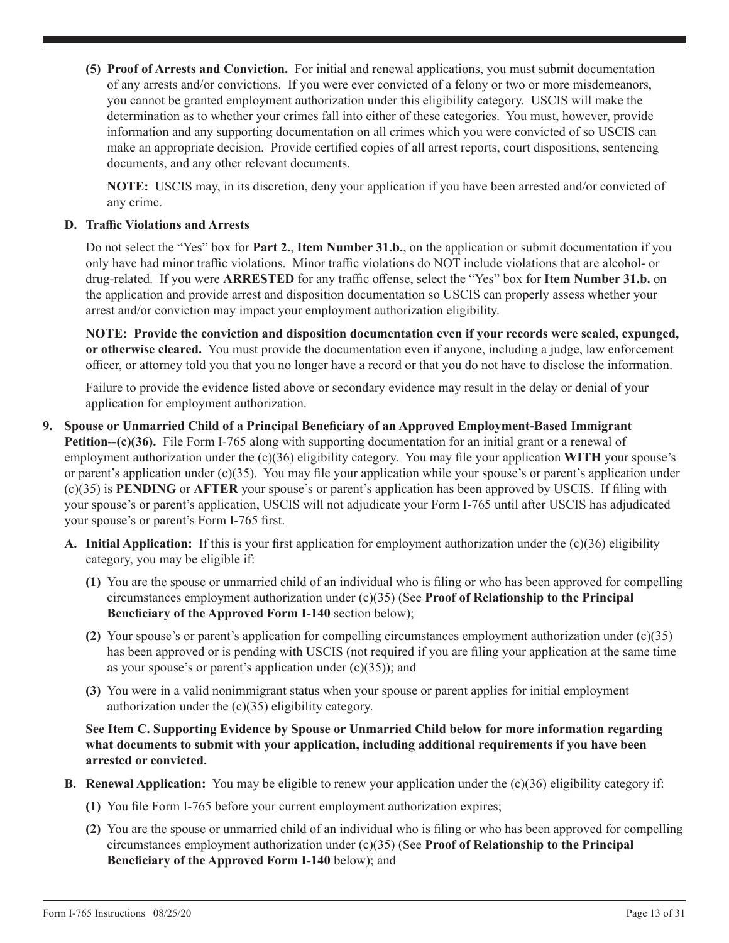**(5) Proof of Arrests and Conviction.** For initial and renewal applications, you must submit documentation of any arrests and/or convictions. If you were ever convicted of a felony or two or more misdemeanors, you cannot be granted employment authorization under this eligibility category. USCIS will make the determination as to whether your crimes fall into either of these categories. You must, however, provide information and any supporting documentation on all crimes which you were convicted of so USCIS can make an appropriate decision. Provide certified copies of all arrest reports, court dispositions, sentencing documents, and any other relevant documents.

**NOTE:** USCIS may, in its discretion, deny your application if you have been arrested and/or convicted of any crime.

#### **D. Traffic Violations and Arrests**

Do not select the "Yes" box for **Part 2.**, **Item Number 31.b.**, on the application or submit documentation if you only have had minor traffic violations. Minor traffic violations do NOT include violations that are alcohol- or drug-related. If you were **ARRESTED** for any traffic offense, select the "Yes" box for **Item Number 31.b.** on the application and provide arrest and disposition documentation so USCIS can properly assess whether your arrest and/or conviction may impact your employment authorization eligibility.

**NOTE: Provide the conviction and disposition documentation even if your records were sealed, expunged, or otherwise cleared.** You must provide the documentation even if anyone, including a judge, law enforcement officer, or attorney told you that you no longer have a record or that you do not have to disclose the information.

Failure to provide the evidence listed above or secondary evidence may result in the delay or denial of your application for employment authorization.

- **9. Spouse or Unmarried Child of a Principal Beneficiary of an Approved Employment-Based Immigrant Petition-(c)(36).** File Form I-765 along with supporting documentation for an initial grant or a renewal of employment authorization under the (c)(36) eligibility category. You may file your application **WITH** your spouse's or parent's application under  $(c)(35)$ . You may file your application while your spouse's or parent's application under (c)(35) is **PENDING** or **AFTER** your spouse's or parent's application has been approved by USCIS. If filing with your spouse's or parent's application, USCIS will not adjudicate your Form I-765 until after USCIS has adjudicated your spouse's or parent's Form I-765 first.
	- **A. Initial Application:** If this is your first application for employment authorization under the (c)(36) eligibility category, you may be eligible if:
		- **(1)** You are the spouse or unmarried child of an individual who is filing or who has been approved for compelling circumstances employment authorization under (c)(35) (See **Proof of Relationship to the Principal Beneficiary of the Approved Form I-140** section below);
		- **(2)** Your spouse's or parent's application for compelling circumstances employment authorization under (c)(35) has been approved or is pending with USCIS (not required if you are filing your application at the same time as your spouse's or parent's application under  $(c)(35)$ ); and
		- **(3)** You were in a valid nonimmigrant status when your spouse or parent applies for initial employment authorization under the (c)(35) eligibility category.

**See Item C. Supporting Evidence by Spouse or Unmarried Child below for more information regarding what documents to submit with your application, including additional requirements if you have been arrested or convicted.**

- **B. Renewal Application:** You may be eligible to renew your application under the (c)(36) eligibility category if:
	- **(1)** You file Form I-765 before your current employment authorization expires;
	- **(2)** You are the spouse or unmarried child of an individual who is filing or who has been approved for compelling circumstances employment authorization under (c)(35) (See **Proof of Relationship to the Principal Beneficiary of the Approved Form I-140** below); and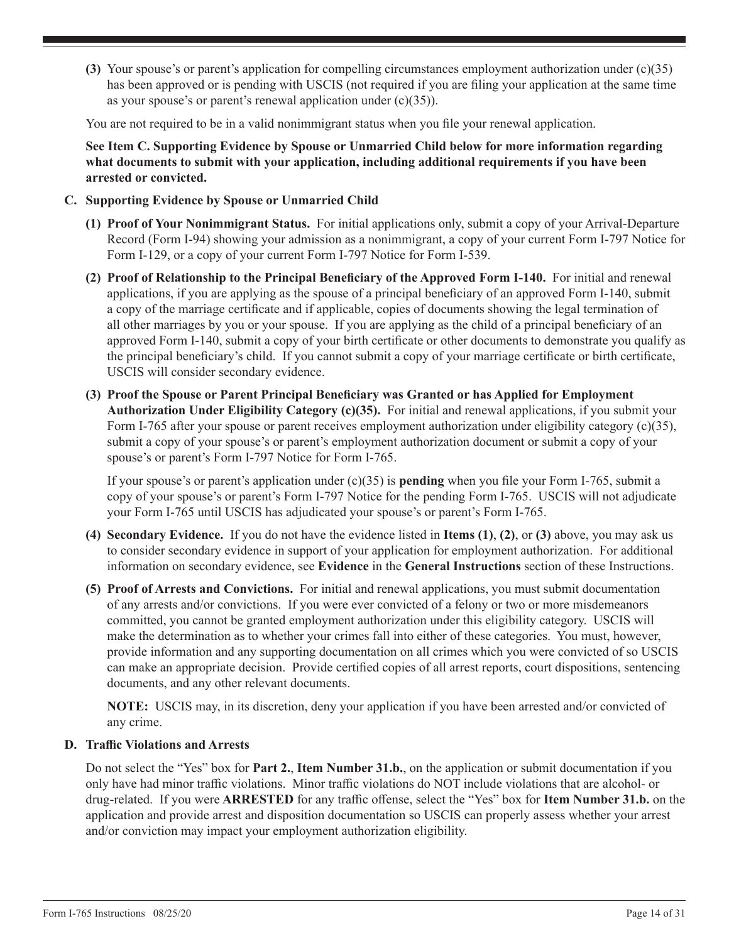**(3)** Your spouse's or parent's application for compelling circumstances employment authorization under (c)(35) has been approved or is pending with USCIS (not required if you are filing your application at the same time as your spouse's or parent's renewal application under (c)(35)).

You are not required to be in a valid nonimmigrant status when you file your renewal application.

**See Item C. Supporting Evidence by Spouse or Unmarried Child below for more information regarding what documents to submit with your application, including additional requirements if you have been arrested or convicted.**

- **C. Supporting Evidence by Spouse or Unmarried Child**
	- **(1) Proof of Your Nonimmigrant Status.** For initial applications only, submit a copy of your Arrival-Departure Record (Form I-94) showing your admission as a nonimmigrant, a copy of your current Form I-797 Notice for Form I-129, or a copy of your current Form I-797 Notice for Form I-539.
	- **(2) Proof of Relationship to the Principal Beneficiary of the Approved Form I-140.** For initial and renewal applications, if you are applying as the spouse of a principal beneficiary of an approved Form I-140, submit a copy of the marriage certificate and if applicable, copies of documents showing the legal termination of all other marriages by you or your spouse. If you are applying as the child of a principal beneficiary of an approved Form I-140, submit a copy of your birth certificate or other documents to demonstrate you qualify as the principal beneficiary's child. If you cannot submit a copy of your marriage certificate or birth certificate, USCIS will consider secondary evidence.
	- **(3) Proof the Spouse or Parent Principal Beneficiary was Granted or has Applied for Employment Authorization Under Eligibility Category (c)(35).** For initial and renewal applications, if you submit your Form I-765 after your spouse or parent receives employment authorization under eligibility category (c)(35), submit a copy of your spouse's or parent's employment authorization document or submit a copy of your spouse's or parent's Form I-797 Notice for Form I-765.

If your spouse's or parent's application under (c)(35) is **pending** when you file your Form I-765, submit a copy of your spouse's or parent's Form I-797 Notice for the pending Form I-765. USCIS will not adjudicate your Form I-765 until USCIS has adjudicated your spouse's or parent's Form I-765.

- **(4) Secondary Evidence.** If you do not have the evidence listed in **Items (1)**, **(2)**, or **(3)** above, you may ask us to consider secondary evidence in support of your application for employment authorization. For additional information on secondary evidence, see **Evidence** in the **General Instructions** section of these Instructions.
- **(5) Proof of Arrests and Convictions.** For initial and renewal applications, you must submit documentation of any arrests and/or convictions. If you were ever convicted of a felony or two or more misdemeanors committed, you cannot be granted employment authorization under this eligibility category. USCIS will make the determination as to whether your crimes fall into either of these categories. You must, however, provide information and any supporting documentation on all crimes which you were convicted of so USCIS can make an appropriate decision. Provide certified copies of all arrest reports, court dispositions, sentencing documents, and any other relevant documents.

**NOTE:** USCIS may, in its discretion, deny your application if you have been arrested and/or convicted of any crime.

#### **D. Traffic Violations and Arrests**

Do not select the "Yes" box for **Part 2.**, **Item Number 31.b.**, on the application or submit documentation if you only have had minor traffic violations. Minor traffic violations do NOT include violations that are alcohol- or drug-related. If you were **ARRESTED** for any traffic offense, select the "Yes" box for **Item Number 31.b.** on the application and provide arrest and disposition documentation so USCIS can properly assess whether your arrest and/or conviction may impact your employment authorization eligibility.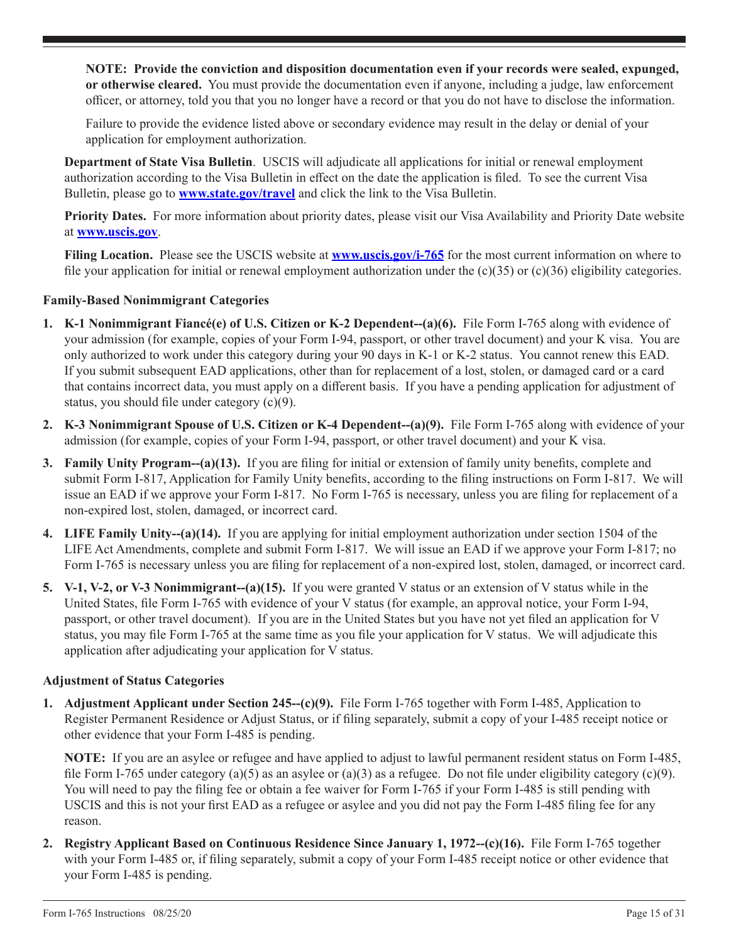**NOTE: Provide the conviction and disposition documentation even if your records were sealed, expunged, or otherwise cleared.** You must provide the documentation even if anyone, including a judge, law enforcement officer, or attorney, told you that you no longer have a record or that you do not have to disclose the information.

Failure to provide the evidence listed above or secondary evidence may result in the delay or denial of your application for employment authorization.

**Department of State Visa Bulletin**. USCIS will adjudicate all applications for initial or renewal employment authorization according to the Visa Bulletin in effect on the date the application is filed. To see the current Visa Bulletin, please go to **www.state.gov/travel** and click the link to the Visa Bulletin.

**Priority Dates.** For more information about priority dates, please visit our Visa Availability and Priority Date website at **www.uscis.gov**.

Filing Location. Please see the USCIS website at **www.uscis.gov/i-765** for the most current information on where to file your application for initial or renewal employment authorization under the  $(c)(35)$  or  $(c)(36)$  eligibility categories.

## **Family-Based Nonimmigrant Categories**

- **1. K-1 Nonimmigrant Fiancé(e) of U.S. Citizen or K-2 Dependent--(a)(6).** File Form I-765 along with evidence of your admission (for example, copies of your Form I-94, passport, or other travel document) and your K visa. You are only authorized to work under this category during your 90 days in K-1 or K-2 status. You cannot renew this EAD. If you submit subsequent EAD applications, other than for replacement of a lost, stolen, or damaged card or a card that contains incorrect data, you must apply on a different basis. If you have a pending application for adjustment of status, you should file under category (c)(9).
- **2. K-3 Nonimmigrant Spouse of U.S. Citizen or K-4 Dependent--(a)(9).** File Form I-765 along with evidence of your admission (for example, copies of your Form I-94, passport, or other travel document) and your K visa.
- **3. Family Unity Program--(a)(13).** If you are filing for initial or extension of family unity benefits, complete and submit Form I-817, Application for Family Unity benefits, according to the filing instructions on Form I-817. We will issue an EAD if we approve your Form I-817. No Form I-765 is necessary, unless you are filing for replacement of a non-expired lost, stolen, damaged, or incorrect card.
- **4. LIFE Family Unity--(a)(14).** If you are applying for initial employment authorization under section 1504 of the LIFE Act Amendments, complete and submit Form I-817. We will issue an EAD if we approve your Form I-817; no Form I-765 is necessary unless you are filing for replacement of a non-expired lost, stolen, damaged, or incorrect card.
- **5. V-1, V-2, or V-3 Nonimmigrant--(a)(15).** If you were granted V status or an extension of V status while in the United States, file Form I-765 with evidence of your V status (for example, an approval notice, your Form I-94, passport, or other travel document). If you are in the United States but you have not yet filed an application for V status, you may file Form I-765 at the same time as you file your application for V status. We will adjudicate this application after adjudicating your application for V status.

#### **Adjustment of Status Categories**

**1. Adjustment Applicant under Section 245--(c)(9).** File Form I-765 together with Form I-485, Application to Register Permanent Residence or Adjust Status, or if filing separately, submit a copy of your I-485 receipt notice or other evidence that your Form I-485 is pending.

**NOTE:** If you are an asylee or refugee and have applied to adjust to lawful permanent resident status on Form I-485, file Form I-765 under category (a)(5) as an asylee or (a)(3) as a refugee. Do not file under eligibility category (c)(9). You will need to pay the filing fee or obtain a fee waiver for Form I-765 if your Form I-485 is still pending with USCIS and this is not your first EAD as a refugee or asylee and you did not pay the Form I-485 filing fee for any reason.

**2. Registry Applicant Based on Continuous Residence Since January 1, 1972--(c)(16).** File Form I-765 together with your Form I-485 or, if filing separately, submit a copy of your Form I-485 receipt notice or other evidence that your Form I-485 is pending.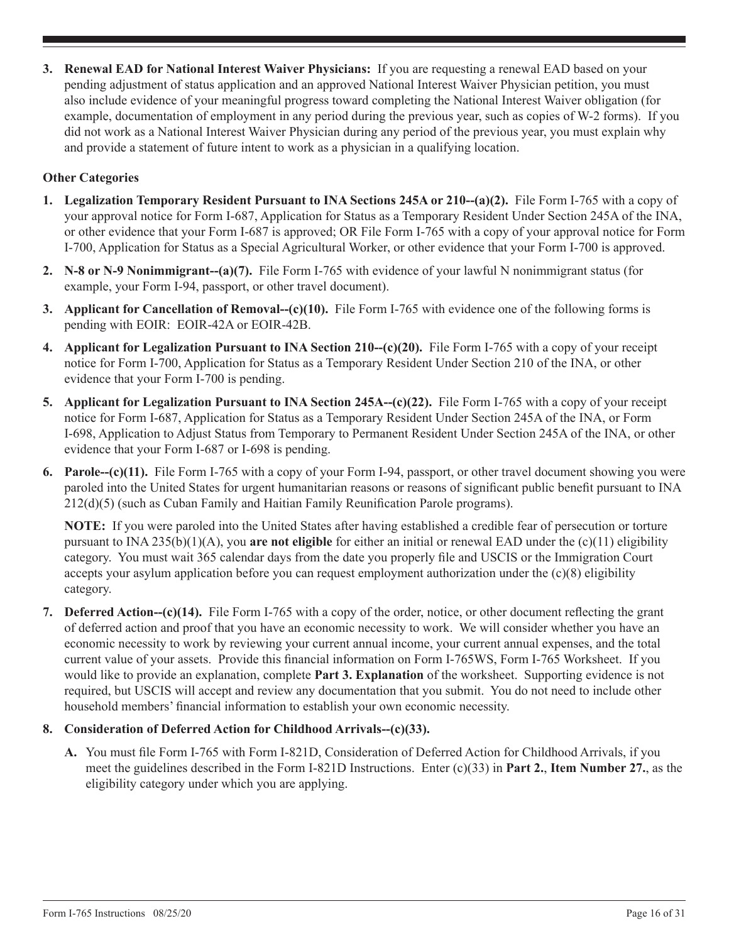**3. Renewal EAD for National Interest Waiver Physicians:** If you are requesting a renewal EAD based on your pending adjustment of status application and an approved National Interest Waiver Physician petition, you must also include evidence of your meaningful progress toward completing the National Interest Waiver obligation (for example, documentation of employment in any period during the previous year, such as copies of W-2 forms). If you did not work as a National Interest Waiver Physician during any period of the previous year, you must explain why and provide a statement of future intent to work as a physician in a qualifying location.

## **Other Categories**

- **1. Legalization Temporary Resident Pursuant to INA Sections 245A or 210--(a)(2).** File Form I-765 with a copy of your approval notice for Form I-687, Application for Status as a Temporary Resident Under Section 245A of the INA, or other evidence that your Form I-687 is approved; OR File Form I-765 with a copy of your approval notice for Form I-700, Application for Status as a Special Agricultural Worker, or other evidence that your Form I-700 is approved.
- **2. N-8 or N-9 Nonimmigrant--(a)(7).** File Form I-765 with evidence of your lawful N nonimmigrant status (for example, your Form I-94, passport, or other travel document).
- **3. Applicant for Cancellation of Removal--(c)(10).** File Form I-765 with evidence one of the following forms is pending with EOIR: EOIR-42A or EOIR-42B.
- **4. Applicant for Legalization Pursuant to INA Section 210-(c)(20).** File Form I-765 with a copy of your receipt notice for Form I-700, Application for Status as a Temporary Resident Under Section 210 of the INA, or other evidence that your Form I-700 is pending.
- **5. Applicant for Legalization Pursuant to INA Section 245A--(c)(22).** File Form I-765 with a copy of your receipt notice for Form I-687, Application for Status as a Temporary Resident Under Section 245A of the INA, or Form I-698, Application to Adjust Status from Temporary to Permanent Resident Under Section 245A of the INA, or other evidence that your Form I-687 or I-698 is pending.
- **6. Parole--(c)(11).** File Form I-765 with a copy of your Form I-94, passport, or other travel document showing you were paroled into the United States for urgent humanitarian reasons or reasons of significant public benefit pursuant to INA 212(d)(5) (such as Cuban Family and Haitian Family Reunification Parole programs).

**NOTE:** If you were paroled into the United States after having established a credible fear of persecution or torture pursuant to INA 235(b)(1)(A), you **are not eligible** for either an initial or renewal EAD under the (c)(11) eligibility category. You must wait 365 calendar days from the date you properly file and USCIS or the Immigration Court accepts your asylum application before you can request employment authorization under the (c)(8) eligibility category.

**7. Deferred Action--(c)(14).** File Form I-765 with a copy of the order, notice, or other document reflecting the grant of deferred action and proof that you have an economic necessity to work. We will consider whether you have an economic necessity to work by reviewing your current annual income, your current annual expenses, and the total current value of your assets. Provide this financial information on Form I-765WS, Form I-765 Worksheet. If you would like to provide an explanation, complete **Part 3. Explanation** of the worksheet. Supporting evidence is not required, but USCIS will accept and review any documentation that you submit. You do not need to include other household members' financial information to establish your own economic necessity.

## **8. Consideration of Deferred Action for Childhood Arrivals--(c)(33).**

**A.** You must file Form I-765 with Form I-821D, Consideration of Deferred Action for Childhood Arrivals, if you meet the guidelines described in the Form I-821D Instructions. Enter (c)(33) in **Part 2.**, **Item Number 27.**, as the eligibility category under which you are applying.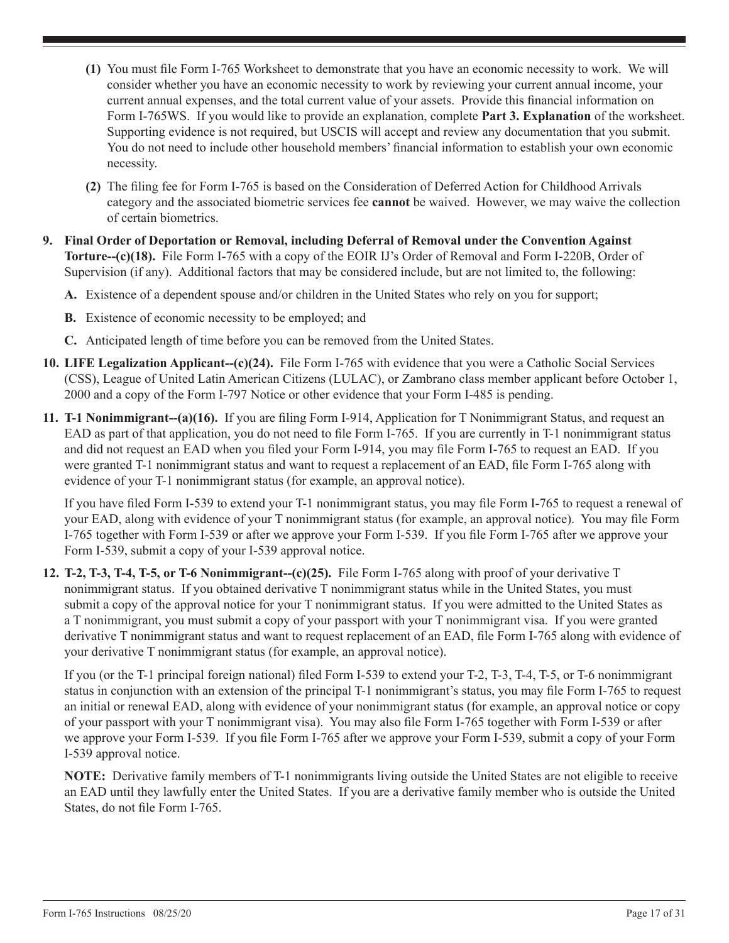- **(1)** You must file Form I-765 Worksheet to demonstrate that you have an economic necessity to work. We will consider whether you have an economic necessity to work by reviewing your current annual income, your current annual expenses, and the total current value of your assets. Provide this financial information on Form I-765WS. If you would like to provide an explanation, complete **Part 3. Explanation** of the worksheet. Supporting evidence is not required, but USCIS will accept and review any documentation that you submit. You do not need to include other household members' financial information to establish your own economic necessity.
- **(2)** The filing fee for Form I-765 is based on the Consideration of Deferred Action for Childhood Arrivals category and the associated biometric services fee **cannot** be waived. However, we may waive the collection of certain biometrics.
- **9. Final Order of Deportation or Removal, including Deferral of Removal under the Convention Against Torture--(c)(18).** File Form I-765 with a copy of the EOIR IJ's Order of Removal and Form I-220B, Order of Supervision (if any). Additional factors that may be considered include, but are not limited to, the following:
	- **A.** Existence of a dependent spouse and/or children in the United States who rely on you for support;
	- **B.** Existence of economic necessity to be employed; and
	- **C.** Anticipated length of time before you can be removed from the United States.
- **10. LIFE Legalization Applicant--(c)(24).** File Form I-765 with evidence that you were a Catholic Social Services (CSS), League of United Latin American Citizens (LULAC), or Zambrano class member applicant before October 1, 2000 and a copy of the Form I-797 Notice or other evidence that your Form I-485 is pending.
- **11. T-1 Nonimmigrant--(a)(16).** If you are filing Form I-914, Application for T Nonimmigrant Status, and request an EAD as part of that application, you do not need to file Form I-765. If you are currently in T-1 nonimmigrant status and did not request an EAD when you filed your Form I-914, you may file Form I-765 to request an EAD. If you were granted T-1 nonimmigrant status and want to request a replacement of an EAD, file Form I-765 along with evidence of your T-1 nonimmigrant status (for example, an approval notice).

If you have filed Form I-539 to extend your T-1 nonimmigrant status, you may file Form I-765 to request a renewal of your EAD, along with evidence of your T nonimmigrant status (for example, an approval notice). You may file Form I-765 together with Form I-539 or after we approve your Form I-539. If you file Form I-765 after we approve your Form I-539, submit a copy of your I-539 approval notice.

**12. T-2, T-3, T-4, T-5, or T-6 Nonimmigrant--(c)(25).** File Form I-765 along with proof of your derivative T nonimmigrant status. If you obtained derivative T nonimmigrant status while in the United States, you must submit a copy of the approval notice for your T nonimmigrant status. If you were admitted to the United States as a T nonimmigrant, you must submit a copy of your passport with your T nonimmigrant visa. If you were granted derivative T nonimmigrant status and want to request replacement of an EAD, file Form I-765 along with evidence of your derivative T nonimmigrant status (for example, an approval notice).

If you (or the T-1 principal foreign national) filed Form I-539 to extend your T-2, T-3, T-4, T-5, or T-6 nonimmigrant status in conjunction with an extension of the principal T-1 nonimmigrant's status, you may file Form I-765 to request an initial or renewal EAD, along with evidence of your nonimmigrant status (for example, an approval notice or copy of your passport with your T nonimmigrant visa). You may also file Form I-765 together with Form I-539 or after we approve your Form I-539. If you file Form I-765 after we approve your Form I-539, submit a copy of your Form I-539 approval notice.

**NOTE:** Derivative family members of T-1 nonimmigrants living outside the United States are not eligible to receive an EAD until they lawfully enter the United States. If you are a derivative family member who is outside the United States, do not file Form I-765.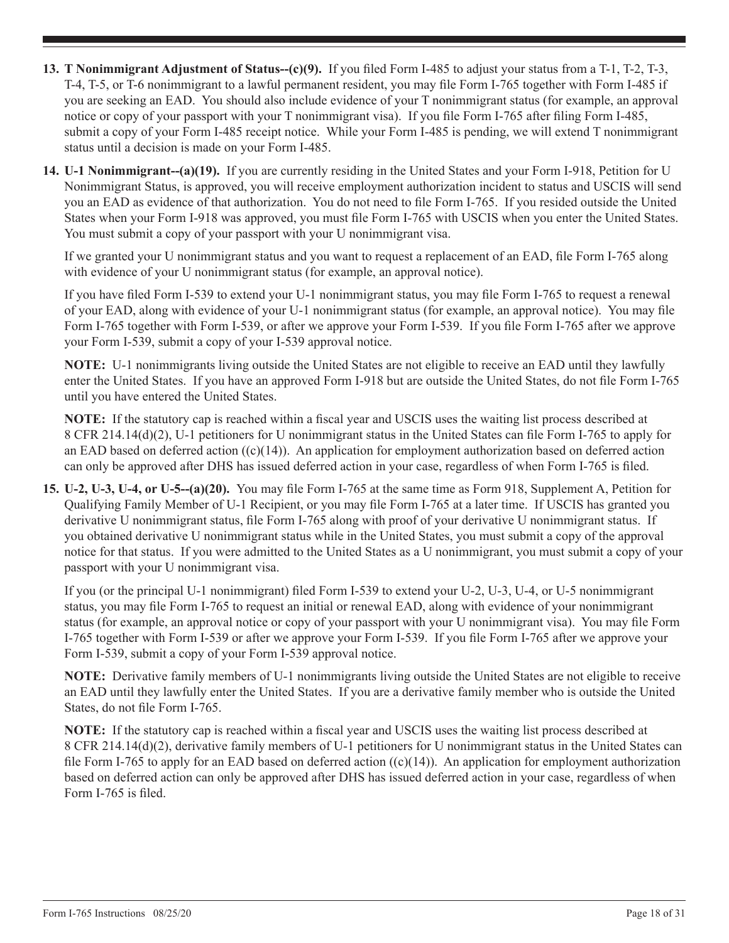- **13. T Nonimmigrant Adjustment of Status--(c)(9).** If you filed Form I-485 to adjust your status from a T-1, T-2, T-3, T-4, T-5, or T-6 nonimmigrant to a lawful permanent resident, you may file Form I-765 together with Form I-485 if you are seeking an EAD. You should also include evidence of your T nonimmigrant status (for example, an approval notice or copy of your passport with your T nonimmigrant visa). If you file Form I-765 after filing Form I-485, submit a copy of your Form I-485 receipt notice. While your Form I-485 is pending, we will extend T nonimmigrant status until a decision is made on your Form I-485.
- **14. U-1 Nonimmigrant--(a)(19).** If you are currently residing in the United States and your Form I-918, Petition for U Nonimmigrant Status, is approved, you will receive employment authorization incident to status and USCIS will send you an EAD as evidence of that authorization. You do not need to file Form I-765. If you resided outside the United States when your Form I-918 was approved, you must file Form I-765 with USCIS when you enter the United States. You must submit a copy of your passport with your U nonimmigrant visa.

If we granted your U nonimmigrant status and you want to request a replacement of an EAD, file Form I-765 along with evidence of your U nonimmigrant status (for example, an approval notice).

If you have filed Form I-539 to extend your U-1 nonimmigrant status, you may file Form I-765 to request a renewal of your EAD, along with evidence of your U-1 nonimmigrant status (for example, an approval notice). You may file Form I-765 together with Form I-539, or after we approve your Form I-539. If you file Form I-765 after we approve your Form I-539, submit a copy of your I-539 approval notice.

**NOTE:** U-1 nonimmigrants living outside the United States are not eligible to receive an EAD until they lawfully enter the United States. If you have an approved Form I-918 but are outside the United States, do not file Form I-765 until you have entered the United States.

**NOTE:** If the statutory cap is reached within a fiscal year and USCIS uses the waiting list process described at 8 CFR 214.14(d)(2), U-1 petitioners for U nonimmigrant status in the United States can file Form I-765 to apply for an EAD based on deferred action  $((c)(14))$ . An application for employment authorization based on deferred action can only be approved after DHS has issued deferred action in your case, regardless of when Form I-765 is filed.

**15. U-2, U-3, U-4, or U-5--(a)(20).** You may file Form I-765 at the same time as Form 918, Supplement A, Petition for Qualifying Family Member of U-1 Recipient, or you may file Form I-765 at a later time. If USCIS has granted you derivative U nonimmigrant status, file Form I-765 along with proof of your derivative U nonimmigrant status. If you obtained derivative U nonimmigrant status while in the United States, you must submit a copy of the approval notice for that status. If you were admitted to the United States as a U nonimmigrant, you must submit a copy of your passport with your U nonimmigrant visa.

If you (or the principal U-1 nonimmigrant) filed Form I-539 to extend your U-2, U-3, U-4, or U-5 nonimmigrant status, you may file Form I-765 to request an initial or renewal EAD, along with evidence of your nonimmigrant status (for example, an approval notice or copy of your passport with your U nonimmigrant visa). You may file Form I-765 together with Form I-539 or after we approve your Form I-539. If you file Form I-765 after we approve your Form I-539, submit a copy of your Form I-539 approval notice.

**NOTE:** Derivative family members of U-1 nonimmigrants living outside the United States are not eligible to receive an EAD until they lawfully enter the United States. If you are a derivative family member who is outside the United States, do not file Form I-765.

**NOTE:** If the statutory cap is reached within a fiscal year and USCIS uses the waiting list process described at 8 CFR 214.14(d)(2), derivative family members of U-1 petitioners for U nonimmigrant status in the United States can file Form I-765 to apply for an EAD based on deferred action  $((c)(14))$ . An application for employment authorization based on deferred action can only be approved after DHS has issued deferred action in your case, regardless of when Form I-765 is filed.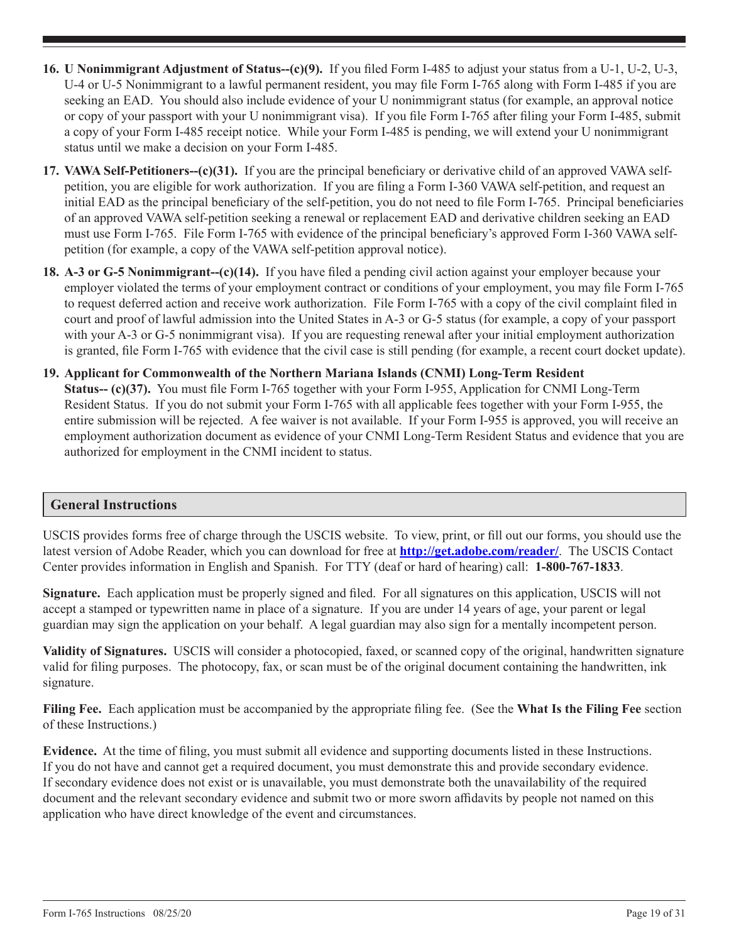- **16. U Nonimmigrant Adjustment of Status--(c)(9).** If you filed Form I-485 to adjust your status from a U-1, U-2, U-3, U-4 or U-5 Nonimmigrant to a lawful permanent resident, you may file Form I-765 along with Form I-485 if you are seeking an EAD. You should also include evidence of your U nonimmigrant status (for example, an approval notice or copy of your passport with your U nonimmigrant visa). If you file Form I-765 after filing your Form I-485, submit a copy of your Form I-485 receipt notice. While your Form I-485 is pending, we will extend your U nonimmigrant status until we make a decision on your Form I-485.
- **17. VAWA Self-Petitioners--(c)(31).** If you are the principal beneficiary or derivative child of an approved VAWA selfpetition, you are eligible for work authorization. If you are filing a Form I-360 VAWA self-petition, and request an initial EAD as the principal beneficiary of the self-petition, you do not need to file Form I-765. Principal beneficiaries of an approved VAWA self-petition seeking a renewal or replacement EAD and derivative children seeking an EAD must use Form I-765. File Form I-765 with evidence of the principal beneficiary's approved Form I-360 VAWA selfpetition (for example, a copy of the VAWA self-petition approval notice).
- **18. A-3 or G-5 Nonimmigrant--(c)(14).** If you have filed a pending civil action against your employer because your employer violated the terms of your employment contract or conditions of your employment, you may file Form I-765 to request deferred action and receive work authorization. File Form I-765 with a copy of the civil complaint filed in court and proof of lawful admission into the United States in A-3 or G-5 status (for example, a copy of your passport with your A-3 or G-5 nonimmigrant visa). If you are requesting renewal after your initial employment authorization is granted, file Form I-765 with evidence that the civil case is still pending (for example, a recent court docket update).
- **19. Applicant for Commonwealth of the Northern Mariana Islands (CNMI) Long-Term Resident Status-- (c)(37).** You must file Form I-765 together with your Form I-955, Application for CNMI Long-Term Resident Status. If you do not submit your Form I-765 with all applicable fees together with your Form I-955, the entire submission will be rejected. A fee waiver is not available. If your Form I-955 is approved, you will receive an employment authorization document as evidence of your CNMI Long-Term Resident Status and evidence that you are authorized for employment in the CNMI incident to status.

# **General Instructions**

USCIS provides forms free of charge through the USCIS website. To view, print, or fill out our forms, you should use the latest version of Adobe Reader, which you can download for free at **http://get.adobe.com/reader/**. The USCIS Contact Center provides information in English and Spanish. For TTY (deaf or hard of hearing) call: **1-800-767-1833**.

**Signature.** Each application must be properly signed and filed. For all signatures on this application, USCIS will not accept a stamped or typewritten name in place of a signature. If you are under 14 years of age, your parent or legal guardian may sign the application on your behalf. A legal guardian may also sign for a mentally incompetent person.

**Validity of Signatures.** USCIS will consider a photocopied, faxed, or scanned copy of the original, handwritten signature valid for filing purposes. The photocopy, fax, or scan must be of the original document containing the handwritten, ink signature.

**Filing Fee.** Each application must be accompanied by the appropriate filing fee. (See the **What Is the Filing Fee** section of these Instructions.)

**Evidence.** At the time of filing, you must submit all evidence and supporting documents listed in these Instructions. If you do not have and cannot get a required document, you must demonstrate this and provide secondary evidence. If secondary evidence does not exist or is unavailable, you must demonstrate both the unavailability of the required document and the relevant secondary evidence and submit two or more sworn affidavits by people not named on this application who have direct knowledge of the event and circumstances.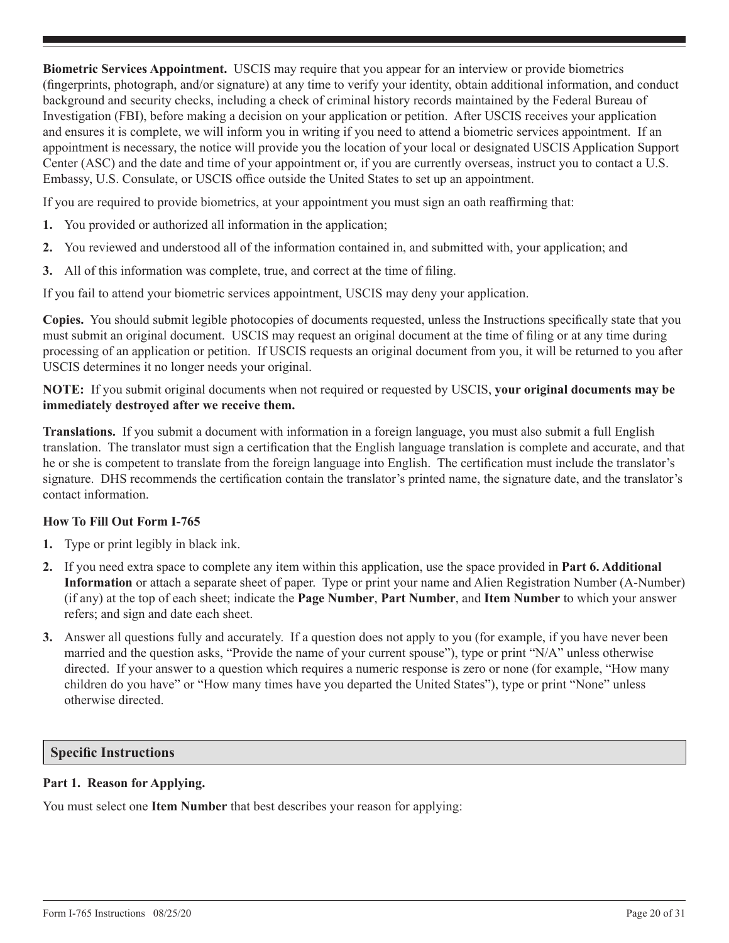**Biometric Services Appointment.** USCIS may require that you appear for an interview or provide biometrics (fingerprints, photograph, and/or signature) at any time to verify your identity, obtain additional information, and conduct background and security checks, including a check of criminal history records maintained by the Federal Bureau of Investigation (FBI), before making a decision on your application or petition. After USCIS receives your application and ensures it is complete, we will inform you in writing if you need to attend a biometric services appointment. If an appointment is necessary, the notice will provide you the location of your local or designated USCIS Application Support Center (ASC) and the date and time of your appointment or, if you are currently overseas, instruct you to contact a U.S. Embassy, U.S. Consulate, or USCIS office outside the United States to set up an appointment.

If you are required to provide biometrics, at your appointment you must sign an oath reaffirming that:

- **1.** You provided or authorized all information in the application;
- **2.** You reviewed and understood all of the information contained in, and submitted with, your application; and
- **3.** All of this information was complete, true, and correct at the time of filing.

If you fail to attend your biometric services appointment, USCIS may deny your application.

**Copies.** You should submit legible photocopies of documents requested, unless the Instructions specifically state that you must submit an original document. USCIS may request an original document at the time of filing or at any time during processing of an application or petition. If USCIS requests an original document from you, it will be returned to you after USCIS determines it no longer needs your original.

**NOTE:** If you submit original documents when not required or requested by USCIS, **your original documents may be immediately destroyed after we receive them.**

**Translations.** If you submit a document with information in a foreign language, you must also submit a full English translation. The translator must sign a certification that the English language translation is complete and accurate, and that he or she is competent to translate from the foreign language into English. The certification must include the translator's signature. DHS recommends the certification contain the translator's printed name, the signature date, and the translator's contact information.

## **How To Fill Out Form I-765**

- **1.** Type or print legibly in black ink.
- **2.** If you need extra space to complete any item within this application, use the space provided in **Part 6. Additional Information** or attach a separate sheet of paper. Type or print your name and Alien Registration Number (A-Number) (if any) at the top of each sheet; indicate the **Page Number**, **Part Number**, and **Item Number** to which your answer refers; and sign and date each sheet.
- **3.** Answer all questions fully and accurately. If a question does not apply to you (for example, if you have never been married and the question asks, "Provide the name of your current spouse"), type or print "N/A" unless otherwise directed. If your answer to a question which requires a numeric response is zero or none (for example, "How many children do you have" or "How many times have you departed the United States"), type or print "None" unless otherwise directed.

#### **Specific Instructions**

#### **Part 1. Reason for Applying.**

You must select one **Item Number** that best describes your reason for applying: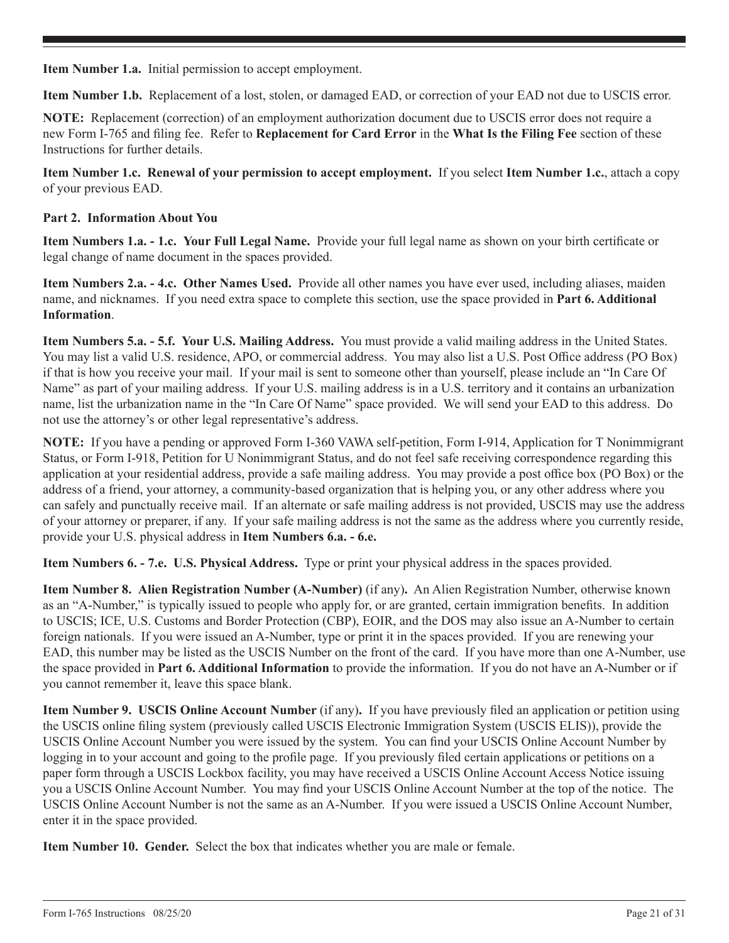**Item Number 1.a.** Initial permission to accept employment.

**Item Number 1.b.** Replacement of a lost, stolen, or damaged EAD, or correction of your EAD not due to USCIS error.

**NOTE:** Replacement (correction) of an employment authorization document due to USCIS error does not require a new Form I-765 and filing fee. Refer to **Replacement for Card Error** in the **What Is the Filing Fee** section of these Instructions for further details.

**Item Number 1.c. Renewal of your permission to accept employment.** If you select **Item Number 1.c.**, attach a copy of your previous EAD.

## **Part 2. Information About You**

**Item Numbers 1.a. - 1.c. Your Full Legal Name.** Provide your full legal name as shown on your birth certificate or legal change of name document in the spaces provided.

**Item Numbers 2.a. - 4.c. Other Names Used.** Provide all other names you have ever used, including aliases, maiden name, and nicknames. If you need extra space to complete this section, use the space provided in **Part 6. Additional Information**.

**Item Numbers 5.a. - 5.f. Your U.S. Mailing Address.** You must provide a valid mailing address in the United States. You may list a valid U.S. residence, APO, or commercial address. You may also list a U.S. Post Office address (PO Box) if that is how you receive your mail. If your mail is sent to someone other than yourself, please include an "In Care Of Name" as part of your mailing address. If your U.S. mailing address is in a U.S. territory and it contains an urbanization name, list the urbanization name in the "In Care Of Name" space provided. We will send your EAD to this address. Do not use the attorney's or other legal representative's address.

**NOTE:** If you have a pending or approved Form I-360 VAWA self-petition, Form I-914, Application for T Nonimmigrant Status, or Form I-918, Petition for U Nonimmigrant Status, and do not feel safe receiving correspondence regarding this application at your residential address, provide a safe mailing address. You may provide a post office box (PO Box) or the address of a friend, your attorney, a community-based organization that is helping you, or any other address where you can safely and punctually receive mail. If an alternate or safe mailing address is not provided, USCIS may use the address of your attorney or preparer, if any. If your safe mailing address is not the same as the address where you currently reside, provide your U.S. physical address in **Item Numbers 6.a. - 6.e.**

**Item Numbers 6. - 7.e. U.S. Physical Address.** Type or print your physical address in the spaces provided.

**Item Number 8. Alien Registration Number (A-Number)** (if any)**.** An Alien Registration Number, otherwise known as an "A-Number," is typically issued to people who apply for, or are granted, certain immigration benefits. In addition to USCIS; ICE, U.S. Customs and Border Protection (CBP), EOIR, and the DOS may also issue an A-Number to certain foreign nationals. If you were issued an A-Number, type or print it in the spaces provided. If you are renewing your EAD, this number may be listed as the USCIS Number on the front of the card. If you have more than one A-Number, use the space provided in **Part 6. Additional Information** to provide the information. If you do not have an A-Number or if you cannot remember it, leave this space blank.

**Item Number 9. USCIS Online Account Number** (if any)**.** If you have previously filed an application or petition using the USCIS online filing system (previously called USCIS Electronic Immigration System (USCIS ELIS)), provide the USCIS Online Account Number you were issued by the system. You can find your USCIS Online Account Number by logging in to your account and going to the profile page. If you previously filed certain applications or petitions on a paper form through a USCIS Lockbox facility, you may have received a USCIS Online Account Access Notice issuing you a USCIS Online Account Number. You may find your USCIS Online Account Number at the top of the notice. The USCIS Online Account Number is not the same as an A-Number. If you were issued a USCIS Online Account Number, enter it in the space provided.

**Item Number 10. Gender.** Select the box that indicates whether you are male or female.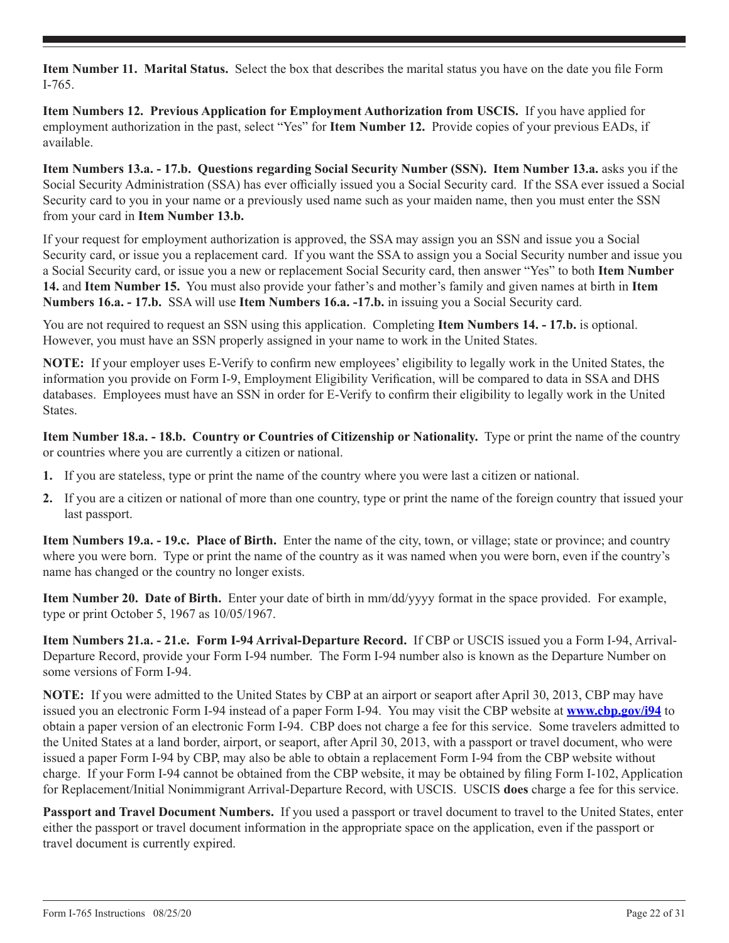**Item Number 11. Marital Status.** Select the box that describes the marital status you have on the date you file Form I-765.

**Item Numbers 12. Previous Application for Employment Authorization from USCIS.** If you have applied for employment authorization in the past, select "Yes" for **Item Number 12.** Provide copies of your previous EADs, if available.

**Item Numbers 13.a. - 17.b. Questions regarding Social Security Number (SSN). Item Number 13.a.** asks you if the Social Security Administration (SSA) has ever officially issued you a Social Security card. If the SSA ever issued a Social Security card to you in your name or a previously used name such as your maiden name, then you must enter the SSN from your card in **Item Number 13.b.**

If your request for employment authorization is approved, the SSA may assign you an SSN and issue you a Social Security card, or issue you a replacement card. If you want the SSA to assign you a Social Security number and issue you a Social Security card, or issue you a new or replacement Social Security card, then answer "Yes" to both **Item Number 14.** and **Item Number 15.** You must also provide your father's and mother's family and given names at birth in **Item Numbers 16.a. - 17.b.** SSA will use **Item Numbers 16.a. -17.b.** in issuing you a Social Security card.

You are not required to request an SSN using this application. Completing **Item Numbers 14. - 17.b.** is optional. However, you must have an SSN properly assigned in your name to work in the United States.

**NOTE:** If your employer uses E-Verify to confirm new employees' eligibility to legally work in the United States, the information you provide on Form I-9, Employment Eligibility Verification, will be compared to data in SSA and DHS databases. Employees must have an SSN in order for E-Verify to confirm their eligibility to legally work in the United States.

**Item Number 18.a. - 18.b. Country or Countries of Citizenship or Nationality.** Type or print the name of the country or countries where you are currently a citizen or national.

- **1.** If you are stateless, type or print the name of the country where you were last a citizen or national.
- **2.** If you are a citizen or national of more than one country, type or print the name of the foreign country that issued your last passport.

**Item Numbers 19.a. - 19.c. Place of Birth.** Enter the name of the city, town, or village; state or province; and country where you were born. Type or print the name of the country as it was named when you were born, even if the country's name has changed or the country no longer exists.

**Item Number 20. Date of Birth.** Enter your date of birth in mm/dd/yyyy format in the space provided. For example, type or print October 5, 1967 as 10/05/1967.

**Item Numbers 21.a. - 21.e. Form I-94 Arrival-Departure Record.** If CBP or USCIS issued you a Form I-94, Arrival-Departure Record, provide your Form I-94 number. The Form I-94 number also is known as the Departure Number on some versions of Form I-94.

**NOTE:** If you were admitted to the United States by CBP at an airport or seaport after April 30, 2013, CBP may have issued you an electronic Form I-94 instead of a paper Form I-94. You may visit the CBP website at **www.cbp.gov/i94** to obtain a paper version of an electronic Form I-94. CBP does not charge a fee for this service. Some travelers admitted to the United States at a land border, airport, or seaport, after April 30, 2013, with a passport or travel document, who were issued a paper Form I-94 by CBP, may also be able to obtain a replacement Form I-94 from the CBP website without charge. If your Form I-94 cannot be obtained from the CBP website, it may be obtained by filing Form I-102, Application for Replacement/Initial Nonimmigrant Arrival-Departure Record, with USCIS. USCIS **does** charge a fee for this service.

**Passport and Travel Document Numbers.** If you used a passport or travel document to travel to the United States, enter either the passport or travel document information in the appropriate space on the application, even if the passport or travel document is currently expired.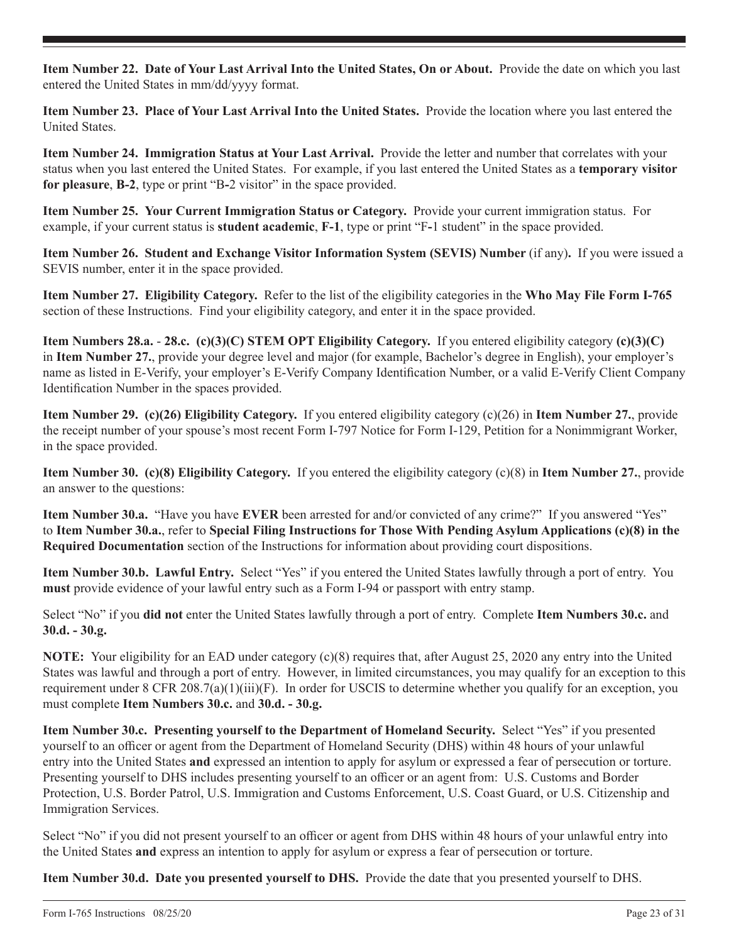**Item Number 22. Date of Your Last Arrival Into the United States, On or About.** Provide the date on which you last entered the United States in mm/dd/yyyy format.

**Item Number 23. Place of Your Last Arrival Into the United States.** Provide the location where you last entered the United States.

**Item Number 24. Immigration Status at Your Last Arrival.** Provide the letter and number that correlates with your status when you last entered the United States. For example, if you last entered the United States as a **temporary visitor for pleasure**, **B-2**, type or print "B**-**2 visitor" in the space provided.

**Item Number 25. Your Current Immigration Status or Category.** Provide your current immigration status. For example, if your current status is **student academic**, **F-1**, type or print "F**-**1 student" in the space provided.

**Item Number 26. Student and Exchange Visitor Information System (SEVIS) Number** (if any)**.** If you were issued a SEVIS number, enter it in the space provided.

**Item Number 27. Eligibility Category.** Refer to the list of the eligibility categories in the **Who May File Form I-765** section of these Instructions. Find your eligibility category, and enter it in the space provided.

**Item Numbers 28.a.** - **28.c. (c)(3)(C) STEM OPT Eligibility Category.** If you entered eligibility category **(c)(3)(C)** in **Item Number 27.**, provide your degree level and major (for example, Bachelor's degree in English), your employer's name as listed in E-Verify, your employer's E-Verify Company Identification Number, or a valid E-Verify Client Company Identification Number in the spaces provided.

**Item Number 29. (c)(26) Eligibility Category.** If you entered eligibility category (c)(26) in **Item Number 27.**, provide the receipt number of your spouse's most recent Form I-797 Notice for Form I-129, Petition for a Nonimmigrant Worker, in the space provided.

**Item Number 30. (c)(8) Eligibility Category.** If you entered the eligibility category (c)(8) in **Item Number 27.**, provide an answer to the questions:

**Item Number 30.a.** "Have you have **EVER** been arrested for and/or convicted of any crime?" If you answered "Yes" to **Item Number 30.a.**, refer to **Special Filing Instructions for Those With Pending Asylum Applications (c)(8) in the Required Documentation** section of the Instructions for information about providing court dispositions.

**Item Number 30.b. Lawful Entry.** Select "Yes" if you entered the United States lawfully through a port of entry. You **must** provide evidence of your lawful entry such as a Form I-94 or passport with entry stamp.

Select "No" if you **did not** enter the United States lawfully through a port of entry. Complete **Item Numbers 30.c.** and **30.d. - 30.g.**

**NOTE:** Your eligibility for an EAD under category (c)(8) requires that, after August 25, 2020 any entry into the United States was lawful and through a port of entry.However, in limited circumstances, you may qualify for an exception to this requirement under 8 CFR 208.7(a)(1)(iii)(F). In order for USCIS to determine whether you qualify for an exception, you must complete **Item Numbers 30.c.** and **30.d. - 30.g.**

**Item Number 30.c. Presenting yourself to the Department of Homeland Security.** Select "Yes" if you presented yourself to an officer or agent from the Department of Homeland Security (DHS) within 48 hours of your unlawful entry into the United States **and** expressed an intention to apply for asylum or expressed a fear of persecution or torture. Presenting yourself to DHS includes presenting yourself to an officer or an agent from: U.S. Customs and Border Protection, U.S. Border Patrol, U.S. Immigration and Customs Enforcement, U.S. Coast Guard, or U.S. Citizenship and Immigration Services.

Select "No" if you did not present yourself to an officer or agent from DHS within 48 hours of your unlawful entry into the United States **and** express an intention to apply for asylum or express a fear of persecution or torture.

**Item Number 30.d. Date you presented yourself to DHS.** Provide the date that you presented yourself to DHS.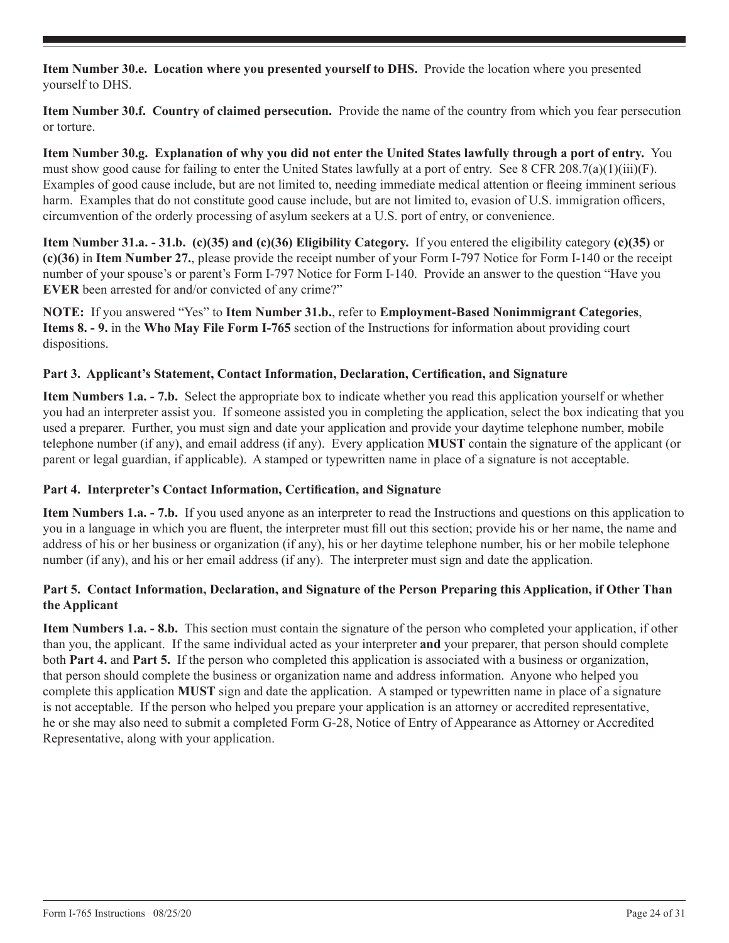**Item Number 30.e. Location where you presented yourself to DHS.** Provide the location where you presented yourself to DHS.

**Item Number 30.f. Country of claimed persecution.** Provide the name of the country from which you fear persecution or torture.

**Item Number 30.g. Explanation of why you did not enter the United States lawfully through a port of entry.** You must show good cause for failing to enter the United States lawfully at a port of entry. See 8 CFR  $208.7(a)(1)(iii)(F)$ . Examples of good cause include, but are not limited to, needing immediate medical attention or fleeing imminent serious harm. Examples that do not constitute good cause include, but are not limited to, evasion of U.S. immigration officers, circumvention of the orderly processing of asylum seekers at a U.S. port of entry, or convenience.

**Item Number 31.a. - 31.b. (c)(35) and (c)(36) Eligibility Category.** If you entered the eligibility category **(c)(35)** or **(c)(36)** in **Item Number 27.**, please provide the receipt number of your Form I-797 Notice for Form I-140 or the receipt number of your spouse's or parent's Form I-797 Notice for Form I-140. Provide an answer to the question "Have you **EVER** been arrested for and/or convicted of any crime?"

**NOTE:** If you answered "Yes" to **Item Number 31.b.**, refer to **Employment-Based Nonimmigrant Categories**, **Items 8. - 9.** in the **Who May File Form I-765** section of the Instructions for information about providing court dispositions.

## **Part 3. Applicant's Statement, Contact Information, Declaration, Certification, and Signature**

**Item Numbers 1.a. - 7.b.** Select the appropriate box to indicate whether you read this application yourself or whether you had an interpreter assist you. If someone assisted you in completing the application, select the box indicating that you used a preparer. Further, you must sign and date your application and provide your daytime telephone number, mobile telephone number (if any), and email address (if any). Every application **MUST** contain the signature of the applicant (or parent or legal guardian, if applicable). A stamped or typewritten name in place of a signature is not acceptable.

#### **Part 4. Interpreter's Contact Information, Certification, and Signature**

**Item Numbers 1.a. - 7.b.** If you used anyone as an interpreter to read the Instructions and questions on this application to you in a language in which you are fluent, the interpreter must fill out this section; provide his or her name, the name and address of his or her business or organization (if any), his or her daytime telephone number, his or her mobile telephone number (if any), and his or her email address (if any). The interpreter must sign and date the application.

# **Part 5. Contact Information, Declaration, and Signature of the Person Preparing this Application, if Other Than the Applicant**

**Item Numbers 1.a. - 8.b.** This section must contain the signature of the person who completed your application, if other than you, the applicant. If the same individual acted as your interpreter **and** your preparer, that person should complete both **Part 4.** and **Part 5.** If the person who completed this application is associated with a business or organization, that person should complete the business or organization name and address information. Anyone who helped you complete this application **MUST** sign and date the application. A stamped or typewritten name in place of a signature is not acceptable. If the person who helped you prepare your application is an attorney or accredited representative, he or she may also need to submit a completed Form G-28, Notice of Entry of Appearance as Attorney or Accredited Representative, along with your application.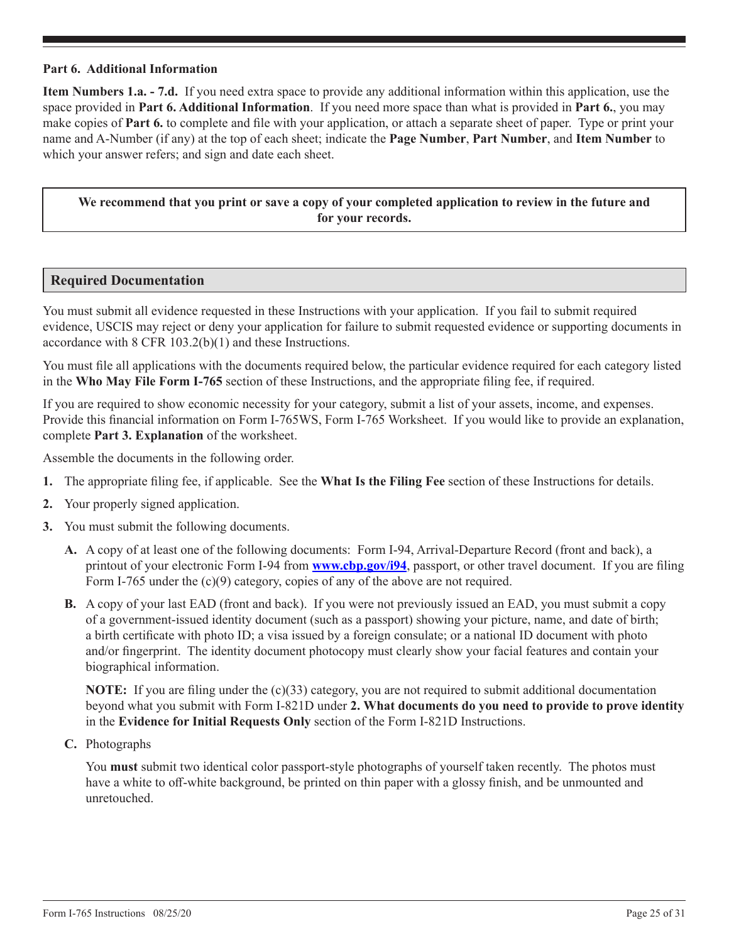#### **Part 6. Additional Information**

**Item Numbers 1.a. - 7.d.** If you need extra space to provide any additional information within this application, use the space provided in **Part 6. Additional Information**. If you need more space than what is provided in **Part 6.**, you may make copies of **Part 6.** to complete and file with your application, or attach a separate sheet of paper. Type or print your name and A-Number (if any) at the top of each sheet; indicate the **Page Number**, **Part Number**, and **Item Number** to which your answer refers; and sign and date each sheet.

## **We recommend that you print or save a copy of your completed application to review in the future and for your records.**

## **Required Documentation**

You must submit all evidence requested in these Instructions with your application. If you fail to submit required evidence, USCIS may reject or deny your application for failure to submit requested evidence or supporting documents in accordance with 8 CFR 103.2(b)(1) and these Instructions.

You must file all applications with the documents required below, the particular evidence required for each category listed in the **Who May File Form I-765** section of these Instructions, and the appropriate filing fee, if required.

If you are required to show economic necessity for your category, submit a list of your assets, income, and expenses. Provide this financial information on Form I-765WS, Form I-765 Worksheet. If you would like to provide an explanation, complete **Part 3. Explanation** of the worksheet.

Assemble the documents in the following order.

- **1.** The appropriate filing fee, if applicable. See the **What Is the Filing Fee** section of these Instructions for details.
- **2.** Your properly signed application.
- **3.** You must submit the following documents.
	- **A.** A copy of at least one of the following documents: Form I-94, Arrival-Departure Record (front and back), a printout of your electronic Form I-94 from **www.cbp.gov/i94**, passport, or other travel document. If you are filing Form I-765 under the (c)(9) category, copies of any of the above are not required.
	- **B.** A copy of your last EAD (front and back). If you were not previously issued an EAD, you must submit a copy of a government-issued identity document (such as a passport) showing your picture, name, and date of birth; a birth certificate with photo ID; a visa issued by a foreign consulate; or a national ID document with photo and/or fingerprint. The identity document photocopy must clearly show your facial features and contain your biographical information.

**NOTE:** If you are filing under the (c)(33) category, you are not required to submit additional documentation beyond what you submit with Form I-821D under **2. What documents do you need to provide to prove identity** in the **Evidence for Initial Requests Only** section of the Form I-821D Instructions.

**C.** Photographs

You **must** submit two identical color passport-style photographs of yourself taken recently. The photos must have a white to off-white background, be printed on thin paper with a glossy finish, and be unmounted and unretouched.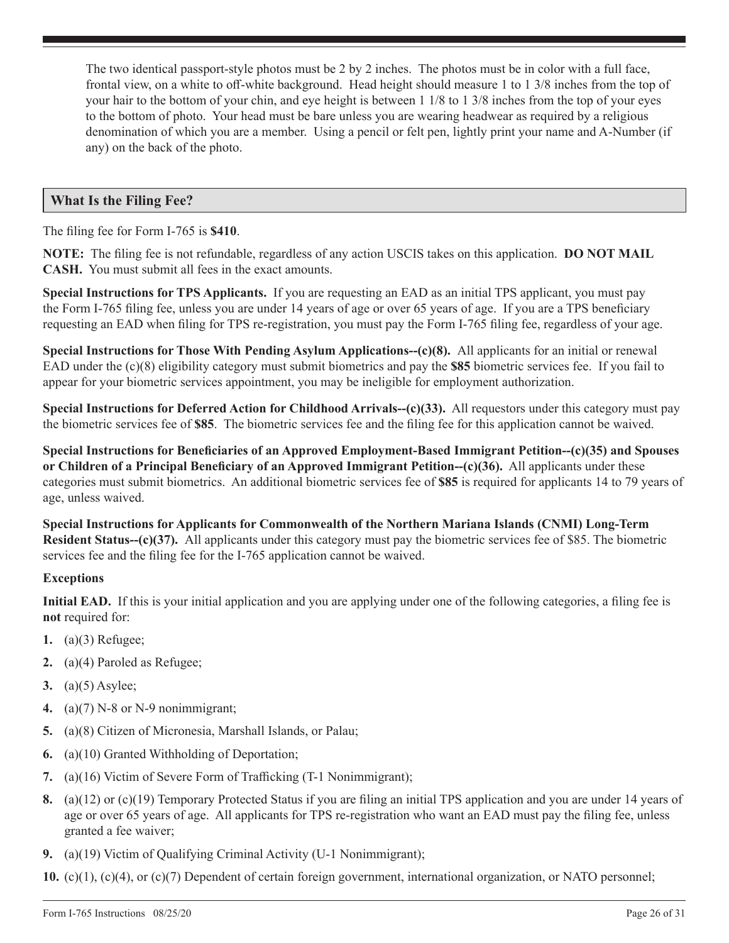The two identical passport-style photos must be 2 by 2 inches. The photos must be in color with a full face, frontal view, on a white to off-white background. Head height should measure 1 to 1 3/8 inches from the top of your hair to the bottom of your chin, and eye height is between 1 1/8 to 1 3/8 inches from the top of your eyes to the bottom of photo. Your head must be bare unless you are wearing headwear as required by a religious denomination of which you are a member. Using a pencil or felt pen, lightly print your name and A-Number (if any) on the back of the photo.

# **What Is the Filing Fee?**

The filing fee for Form I-765 is **\$410**.

**NOTE:** The filing fee is not refundable, regardless of any action USCIS takes on this application. **DO NOT MAIL CASH.** You must submit all fees in the exact amounts.

**Special Instructions for TPS Applicants.** If you are requesting an EAD as an initial TPS applicant, you must pay the Form I-765 filing fee, unless you are under 14 years of age or over 65 years of age. If you are a TPS beneficiary requesting an EAD when filing for TPS re-registration, you must pay the Form I-765 filing fee, regardless of your age.

**Special Instructions for Those With Pending Asylum Applications--(c)(8).** All applicants for an initial or renewal EAD under the (c)(8) eligibility category must submit biometrics and pay the **\$85** biometric services fee. If you fail to appear for your biometric services appointment, you may be ineligible for employment authorization.

**Special Instructions for Deferred Action for Childhood Arrivals--(c)(33).** All requestors under this category must pay the biometric services fee of **\$85**. The biometric services fee and the filing fee for this application cannot be waived.

**Special Instructions for Beneficiaries of an Approved Employment-Based Immigrant Petition--(c)(35) and Spouses or Children of a Principal Beneficiary of an Approved Immigrant Petition--(c)(36).** All applicants under these categories must submit biometrics. An additional biometric services fee of **\$85** is required for applicants 14 to 79 years of age, unless waived.

**Special Instructions for Applicants for Commonwealth of the Northern Mariana Islands (CNMI) Long-Term Resident Status--(c)(37).** All applicants under this category must pay the biometric services fee of \$85. The biometric services fee and the filing fee for the I-765 application cannot be waived.

#### **Exceptions**

**Initial EAD.** If this is your initial application and you are applying under one of the following categories, a filing fee is **not** required for:

- **1.** (a)(3) Refugee;
- **2.** (a)(4) Paroled as Refugee;
- **3.** (a)(5) Asylee;
- **4.** (a)(7) N-8 or N-9 nonimmigrant;
- **5.** (a)(8) Citizen of Micronesia, Marshall Islands, or Palau;
- **6.** (a)(10) Granted Withholding of Deportation;
- **7.** (a)(16) Victim of Severe Form of Trafficking (T-1 Nonimmigrant);
- **8.** (a)(12) or (c)(19) Temporary Protected Status if you are filing an initial TPS application and you are under 14 years of age or over 65 years of age. All applicants for TPS re-registration who want an EAD must pay the filing fee, unless granted a fee waiver;
- **9.** (a)(19) Victim of Qualifying Criminal Activity (U-1 Nonimmigrant);

**10.** (c)(1), (c)(4), or (c)(7) Dependent of certain foreign government, international organization, or NATO personnel;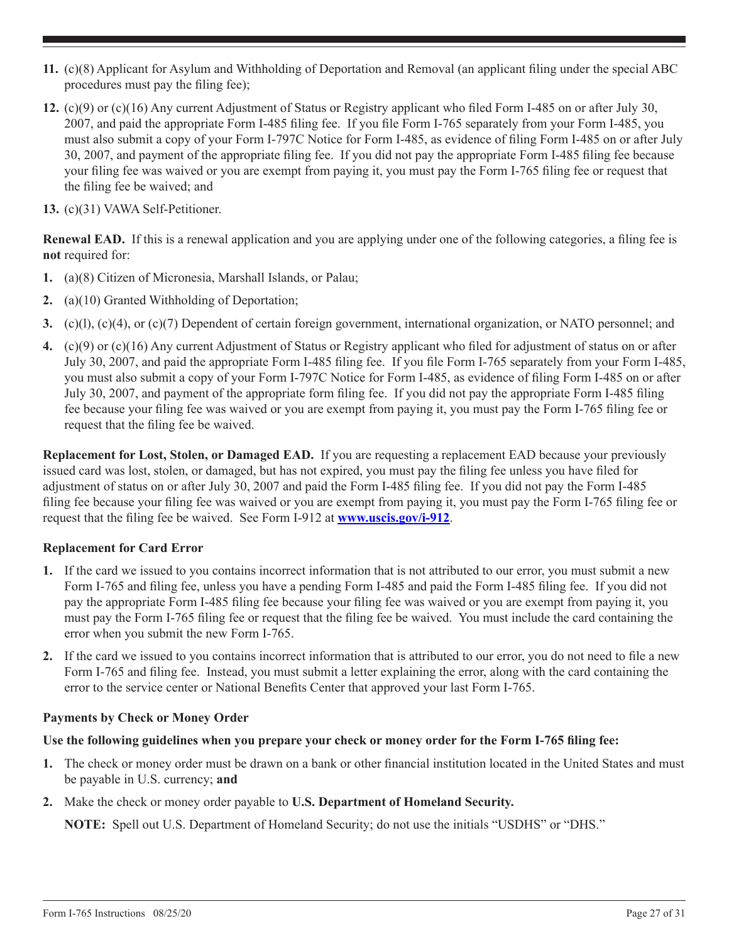- **11.** (c)(8) Applicant for Asylum and Withholding of Deportation and Removal (an applicant filing under the special ABC procedures must pay the filing fee);
- **12.** (c)(9) or (c)(16) Any current Adjustment of Status or Registry applicant who filed Form I-485 on or after July 30, 2007, and paid the appropriate Form I-485 filing fee. If you file Form I-765 separately from your Form I-485, you must also submit a copy of your Form I-797C Notice for Form I-485, as evidence of filing Form I-485 on or after July 30, 2007, and payment of the appropriate filing fee. If you did not pay the appropriate Form I-485 filing fee because your filing fee was waived or you are exempt from paying it, you must pay the Form I-765 filing fee or request that the filing fee be waived; and
- **13.** (c)(31) VAWA Self-Petitioner.

**Renewal EAD.** If this is a renewal application and you are applying under one of the following categories, a filing fee is **not** required for:

- **1.** (a)(8) Citizen of Micronesia, Marshall Islands, or Palau;
- **2.** (a)(10) Granted Withholding of Deportation;
- **3.** (c)(l), (c)(4), or (c)(7) Dependent of certain foreign government, international organization, or NATO personnel; and
- **4.** (c)(9) or (c)(16) Any current Adjustment of Status or Registry applicant who filed for adjustment of status on or after July 30, 2007, and paid the appropriate Form I-485 filing fee. If you file Form I-765 separately from your Form I-485, you must also submit a copy of your Form I-797C Notice for Form I-485, as evidence of filing Form I-485 on or after July 30, 2007, and payment of the appropriate form filing fee. If you did not pay the appropriate Form I-485 filing fee because your filing fee was waived or you are exempt from paying it, you must pay the Form I-765 filing fee or request that the filing fee be waived.

**Replacement for Lost, Stolen, or Damaged EAD.** If you are requesting a replacement EAD because your previously issued card was lost, stolen, or damaged, but has not expired, you must pay the filing fee unless you have filed for adjustment of status on or after July 30, 2007 and paid the Form I-485 filing fee. If you did not pay the Form I-485 filing fee because your filing fee was waived or you are exempt from paying it, you must pay the Form I-765 filing fee or request that the filing fee be waived. See Form I-912 at **www.uscis.gov/i-912**.

## **Replacement for Card Error**

- **1.** If the card we issued to you contains incorrect information that is not attributed to our error, you must submit a new Form I-765 and filing fee, unless you have a pending Form I-485 and paid the Form I-485 filing fee. If you did not pay the appropriate Form I-485 filing fee because your filing fee was waived or you are exempt from paying it, you must pay the Form I-765 filing fee or request that the filing fee be waived. You must include the card containing the error when you submit the new Form I-765.
- **2.** If the card we issued to you contains incorrect information that is attributed to our error, you do not need to file a new Form I-765 and filing fee. Instead, you must submit a letter explaining the error, along with the card containing the error to the service center or National Benefits Center that approved your last Form I-765.

## **Payments by Check or Money Order**

## **Use the following guidelines when you prepare your check or money order for the Form I-765 filing fee:**

- **1.** The check or money order must be drawn on a bank or other financial institution located in the United States and must be payable in U.S. currency; **and**
- **2.** Make the check or money order payable to **U.S. Department of Homeland Security.**

**NOTE:** Spell out U.S. Department of Homeland Security; do not use the initials "USDHS" or "DHS."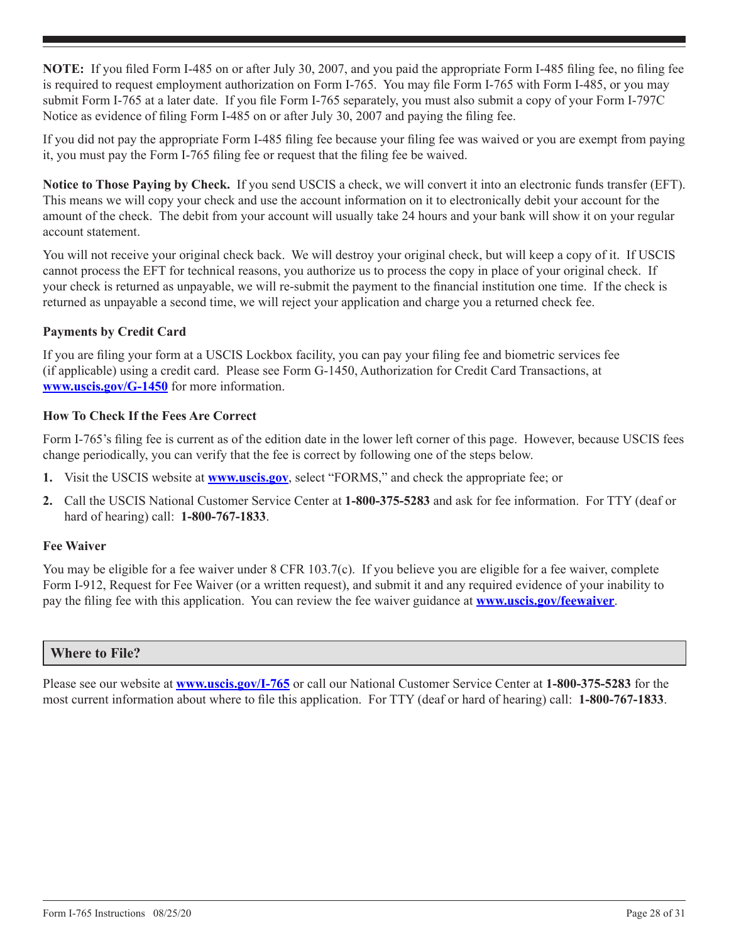**NOTE:** If you filed Form I-485 on or after July 30, 2007, and you paid the appropriate Form I-485 filing fee, no filing fee is required to request employment authorization on Form I-765. You may file Form I-765 with Form I-485, or you may submit Form I-765 at a later date. If you file Form I-765 separately, you must also submit a copy of your Form I-797C Notice as evidence of filing Form I-485 on or after July 30, 2007 and paying the filing fee.

If you did not pay the appropriate Form I-485 filing fee because your filing fee was waived or you are exempt from paying it, you must pay the Form I-765 filing fee or request that the filing fee be waived.

**Notice to Those Paying by Check.** If you send USCIS a check, we will convert it into an electronic funds transfer (EFT). This means we will copy your check and use the account information on it to electronically debit your account for the amount of the check. The debit from your account will usually take 24 hours and your bank will show it on your regular account statement.

You will not receive your original check back. We will destroy your original check, but will keep a copy of it. If USCIS cannot process the EFT for technical reasons, you authorize us to process the copy in place of your original check. If your check is returned as unpayable, we will re-submit the payment to the financial institution one time. If the check is returned as unpayable a second time, we will reject your application and charge you a returned check fee.

## **Payments by Credit Card**

If you are filing your form at a USCIS Lockbox facility, you can pay your filing fee and biometric services fee (if applicable) using a credit card. Please see Form G-1450, Authorization for Credit Card Transactions, at **www.uscis.gov/G-1450** for more information.

#### **How To Check If the Fees Are Correct**

Form I-765's filing fee is current as of the edition date in the lower left corner of this page. However, because USCIS fees change periodically, you can verify that the fee is correct by following one of the steps below.

- **1.** Visit the USCIS website at **www.uscis.gov**, select "FORMS," and check the appropriate fee; or
- **2.** Call the USCIS National Customer Service Center at **1-800-375-5283** and ask for fee information. For TTY (deaf or hard of hearing) call: **1-800-767-1833**.

#### **Fee Waiver**

You may be eligible for a fee waiver under 8 CFR 103.7(c). If you believe you are eligible for a fee waiver, complete Form I-912, Request for Fee Waiver (or a written request), and submit it and any required evidence of your inability to pay the filing fee with this application. You can review the fee waiver guidance at **www.uscis.gov/feewaiver**.

## **Where to File?**

Please see our website at **www.uscis.gov/I-765** or call our National Customer Service Center at **1-800-375-5283** for the most current information about where to file this application. For TTY (deaf or hard of hearing) call: **1-800-767-1833**.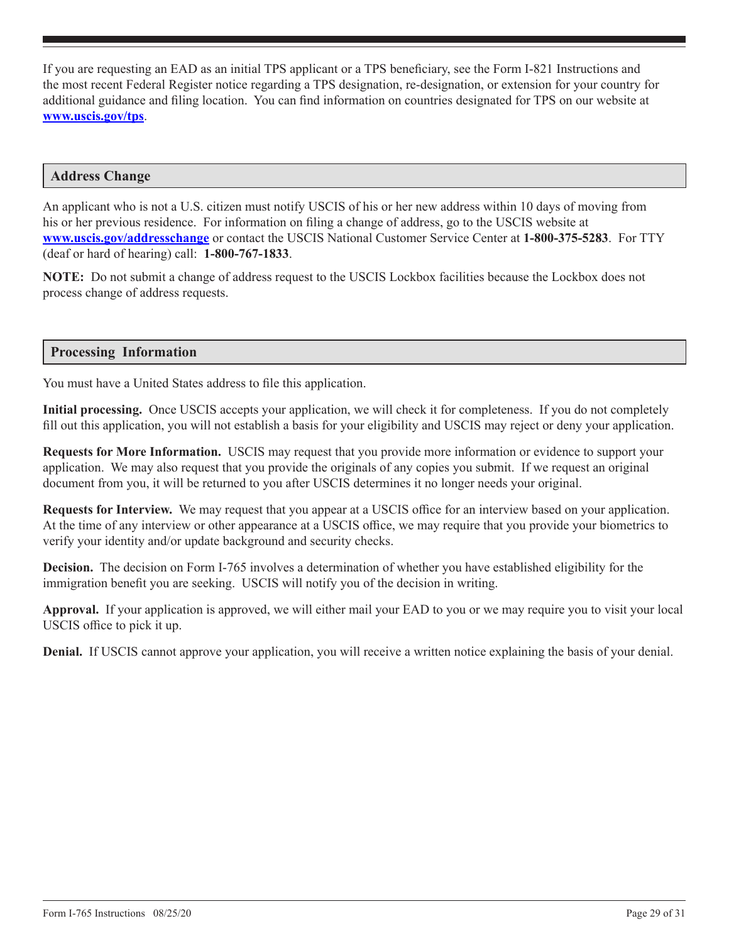If you are requesting an EAD as an initial TPS applicant or a TPS beneficiary, see the Form I-821 Instructions and the most recent Federal Register notice regarding a TPS designation, re-designation, or extension for your country for additional guidance and filing location. You can find information on countries designated for TPS on our website at **www.uscis.gov/tps**.

#### **Address Change**

An applicant who is not a U.S. citizen must notify USCIS of his or her new address within 10 days of moving from his or her previous residence. For information on filing a change of address, go to the USCIS website at **www.uscis.gov/addresschange** or contact the USCIS National Customer Service Center at **1-800-375-5283**. For TTY (deaf or hard of hearing) call: **1-800-767-1833**.

**NOTE:** Do not submit a change of address request to the USCIS Lockbox facilities because the Lockbox does not process change of address requests.

#### **Processing Information**

You must have a United States address to file this application.

**Initial processing.** Once USCIS accepts your application, we will check it for completeness. If you do not completely fill out this application, you will not establish a basis for your eligibility and USCIS may reject or deny your application.

**Requests for More Information.** USCIS may request that you provide more information or evidence to support your application. We may also request that you provide the originals of any copies you submit. If we request an original document from you, it will be returned to you after USCIS determines it no longer needs your original.

**Requests for Interview.** We may request that you appear at a USCIS office for an interview based on your application. At the time of any interview or other appearance at a USCIS office, we may require that you provide your biometrics to verify your identity and/or update background and security checks.

**Decision.** The decision on Form I-765 involves a determination of whether you have established eligibility for the immigration benefit you are seeking. USCIS will notify you of the decision in writing.

**Approval.** If your application is approved, we will either mail your EAD to you or we may require you to visit your local USCIS office to pick it up.

**Denial.** If USCIS cannot approve your application, you will receive a written notice explaining the basis of your denial.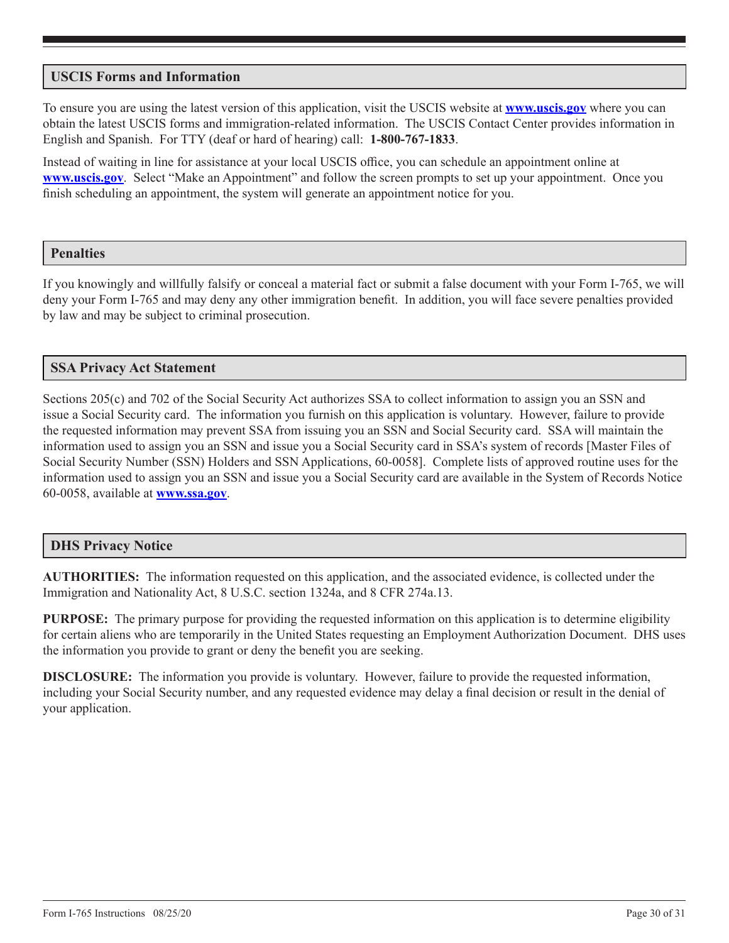# **USCIS Forms and Information**

To ensure you are using the latest version of this application, visit the USCIS website at **www.uscis.gov** where you can obtain the latest USCIS forms and immigration-related information. The USCIS Contact Center provides information in English and Spanish. For TTY (deaf or hard of hearing) call: **1-800-767-1833**.

Instead of waiting in line for assistance at your local USCIS office, you can schedule an appointment online at **www.uscis.gov**. Select "Make an Appointment" and follow the screen prompts to set up your appointment. Once you finish scheduling an appointment, the system will generate an appointment notice for you.

## **Penalties**

If you knowingly and willfully falsify or conceal a material fact or submit a false document with your Form I-765, we will deny your Form I-765 and may deny any other immigration benefit. In addition, you will face severe penalties provided by law and may be subject to criminal prosecution.

# **SSA Privacy Act Statement**

Sections 205(c) and 702 of the Social Security Act authorizes SSA to collect information to assign you an SSN and issue a Social Security card. The information you furnish on this application is voluntary. However, failure to provide the requested information may prevent SSA from issuing you an SSN and Social Security card. SSA will maintain the information used to assign you an SSN and issue you a Social Security card in SSA's system of records [Master Files of Social Security Number (SSN) Holders and SSN Applications, 60-0058]. Complete lists of approved routine uses for the information used to assign you an SSN and issue you a Social Security card are available in the System of Records Notice 60-0058, available at **www.ssa.gov**.

## **DHS Privacy Notice**

**AUTHORITIES:** The information requested on this application, and the associated evidence, is collected under the Immigration and Nationality Act, 8 U.S.C. section 1324a, and 8 CFR 274a.13.

**PURPOSE:** The primary purpose for providing the requested information on this application is to determine eligibility for certain aliens who are temporarily in the United States requesting an Employment Authorization Document. DHS uses the information you provide to grant or deny the benefit you are seeking.

**DISCLOSURE:** The information you provide is voluntary. However, failure to provide the requested information, including your Social Security number, and any requested evidence may delay a final decision or result in the denial of your application.